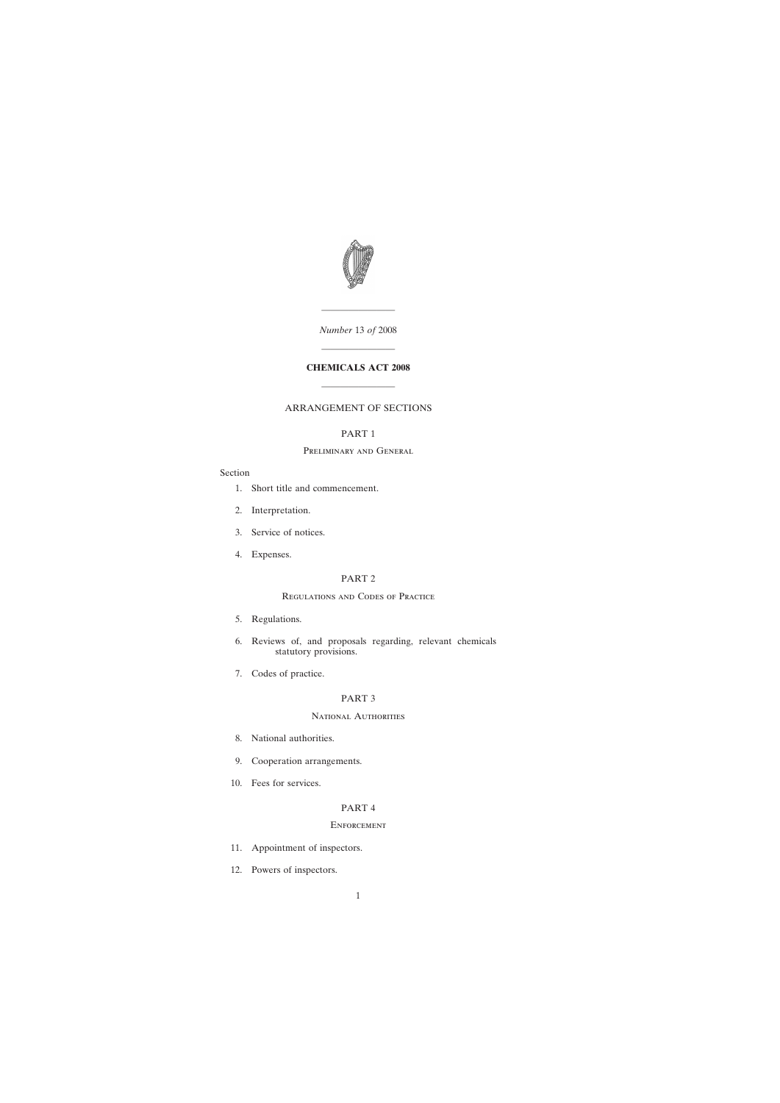

*Number* 13 *of* 2008

————————

# **CHEMICALS ACT 2008**

————————

————————

# ARRANGEMENT OF SECTIONS

# PART 1

## Preliminary and General

# Section

- [1. Short title and commencement.](#page-4-0)
- [2. Interpretation.](#page-5-0)
- [3. Service of notices.](#page-7-0)
- [4. Expenses.](#page-8-0)

## PART 2

# Regulations and Codes of Practice

- [5. Regulations.](#page-8-0)
- [6. Reviews of, and proposals regarding, relevant chemicals](#page-9-0) statutory provisions.
- [7. Codes of practice.](#page-10-0)

# PART 3

# National Authorities

- [8. National authorities.](#page-11-0)
- [9. Cooperation arrangements.](#page-12-0)
- [10. Fees for services.](#page-13-0)

# PART 4

# **ENFORCEMENT**

- [11. Appointment of inspectors.](#page-14-0)
- [12. Powers of inspectors.](#page-15-0)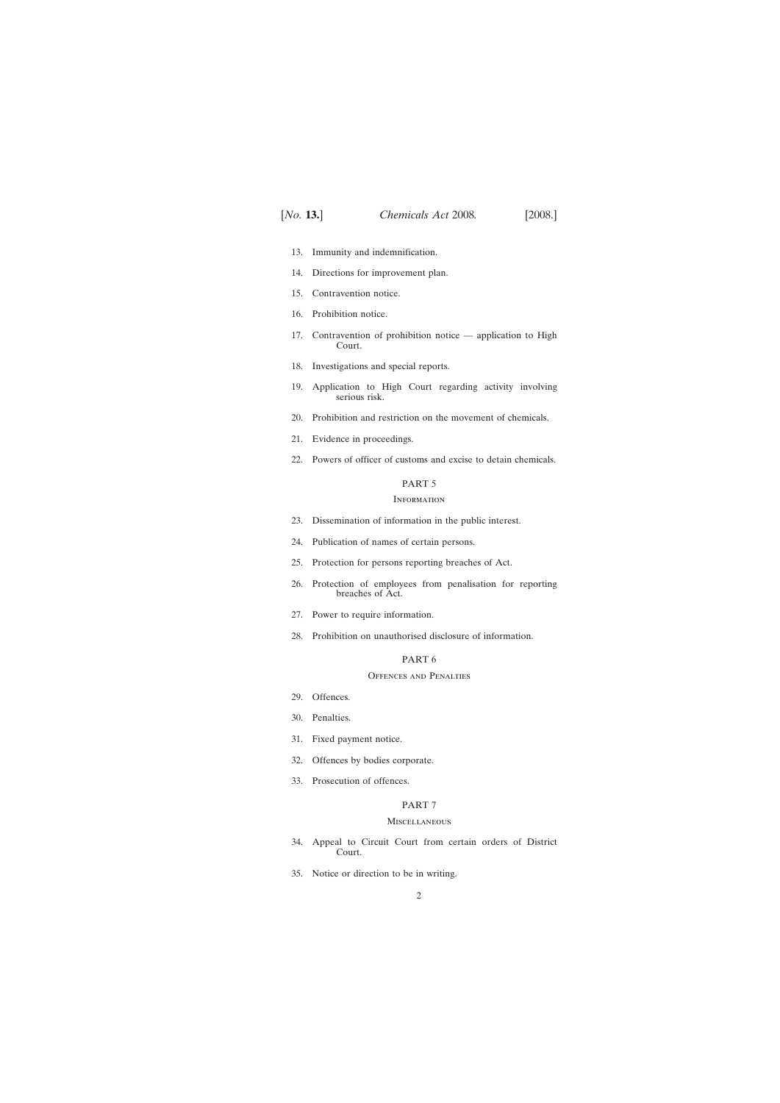- [13. Immunity and indemnification.](#page-19-0)
- [14. Directions for improvement plan.](#page-19-0)
- [15. Contravention notice.](#page-19-0)
- [16. Prohibition notice.](#page-21-0)
- [17. Contravention of prohibition notice application to High](#page-23-0) Court.
- [18. Investigations and special reports.](#page-23-0)
- [19. Application to High Court regarding activity involving](#page-23-0) serious risk.
- [20. Prohibition and restriction on the movement of chemicals.](#page-24-0)
- [21. Evidence in proceedings.](#page-24-0)
- [22. Powers of officer of customs and excise to detain chemicals.](#page-25-0)

# PART 5

## **INFORMATION**

- [23. Dissemination of information in the public interest.](#page-26-0)
- [24. Publication of names of certain persons.](#page-26-0)
- [25. Protection for persons reporting breaches of Act.](#page-26-0)
- [26. Protection of employees from penalisation for reporting](#page-26-0) breaches of Act.
- [27. Power to require information.](#page-28-0)
- [28. Prohibition on unauthorised disclosure of information.](#page-29-0)

# PART 6

## Offences and Penalties

- [29. Offences.](#page-30-0)
- [30. Penalties.](#page-31-0)
- [31. Fixed payment notice.](#page-32-0)
- [32. Offences by bodies corporate.](#page-33-0)
- [33. Prosecution of offences.](#page-33-0)

## PART 7

# **MISCELLANEOUS**

- [34. Appeal to Circuit Court from certain orders of District](#page-33-0) Court.
- [35. Notice or direction to be in writing.](#page-33-0)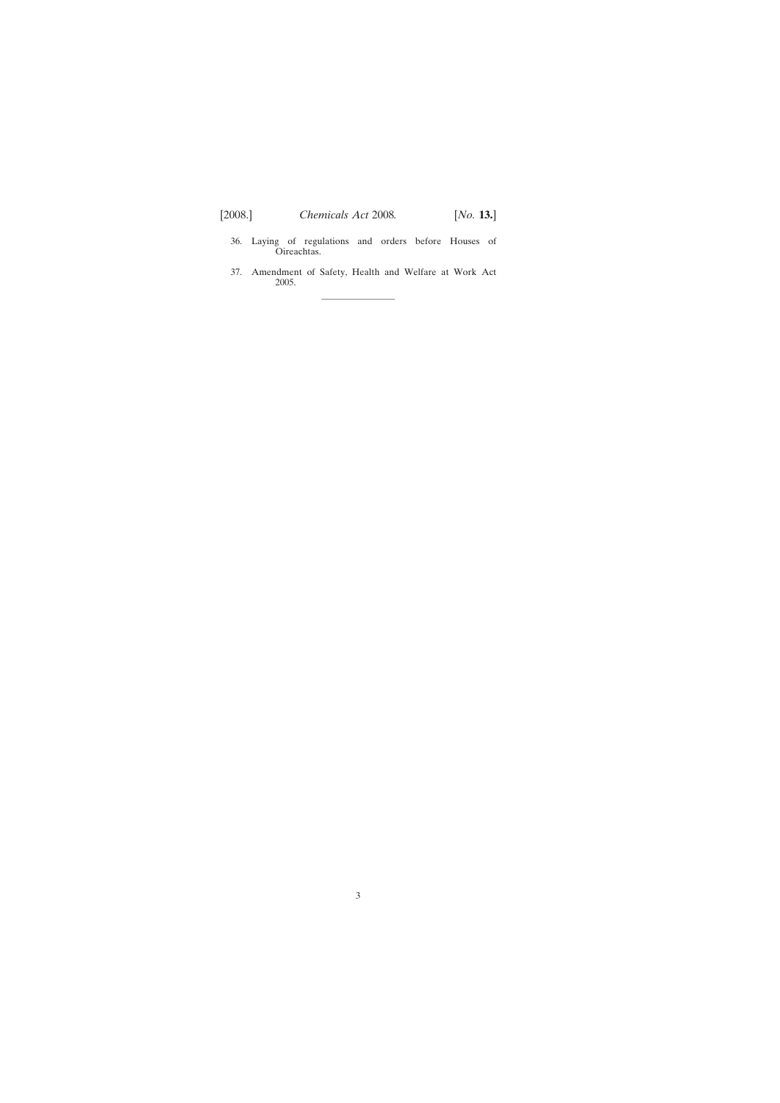- [36. Laying of regulations and orders before Houses of](#page-34-0) Oireachtas.
- [37. Amendment of Safety, Health and Welfare at Work Act](#page-34-0) 2005.

————————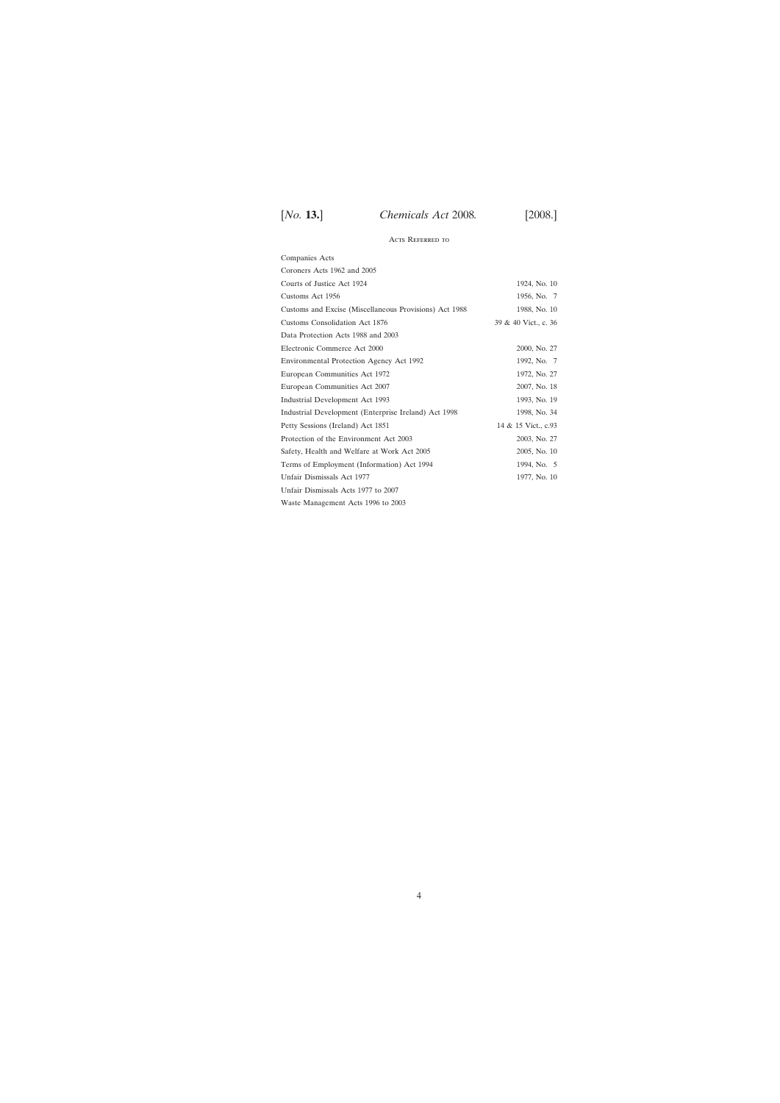# Acts Referred to

| Companies Acts                                         |                      |
|--------------------------------------------------------|----------------------|
| Coroners Acts 1962 and 2005                            |                      |
| Courts of Justice Act 1924                             | 1924, No. 10         |
| Customs Act 1956                                       | 1956, No. 7          |
| Customs and Excise (Miscellaneous Provisions) Act 1988 | 1988, No. 10         |
| Customs Consolidation Act 1876                         | 39 & 40 Vict., c. 36 |
| Data Protection Acts 1988 and 2003                     |                      |
| Electronic Commerce Act 2000                           | 2000, No. 27         |
| Environmental Protection Agency Act 1992               | 1992, No. 7          |
| European Communities Act 1972                          | 1972, No. 27         |
| European Communities Act 2007                          | 2007, No. 18         |
| Industrial Development Act 1993                        | 1993, No. 19         |
| Industrial Development (Enterprise Ireland) Act 1998   | 1998, No. 34         |
| Petty Sessions (Ireland) Act 1851                      | 14 & 15 Vict., c.93  |
| Protection of the Environment Act 2003                 | 2003, No. 27         |
| Safety, Health and Welfare at Work Act 2005            | 2005, No. 10         |
| Terms of Employment (Information) Act 1994             | 1994, No. 5          |
| Unfair Dismissals Act 1977                             | 1977, No. 10         |
| Unfair Dismissals Acts 1977 to 2007                    |                      |
| Waste Management Acts 1996 to 2003                     |                      |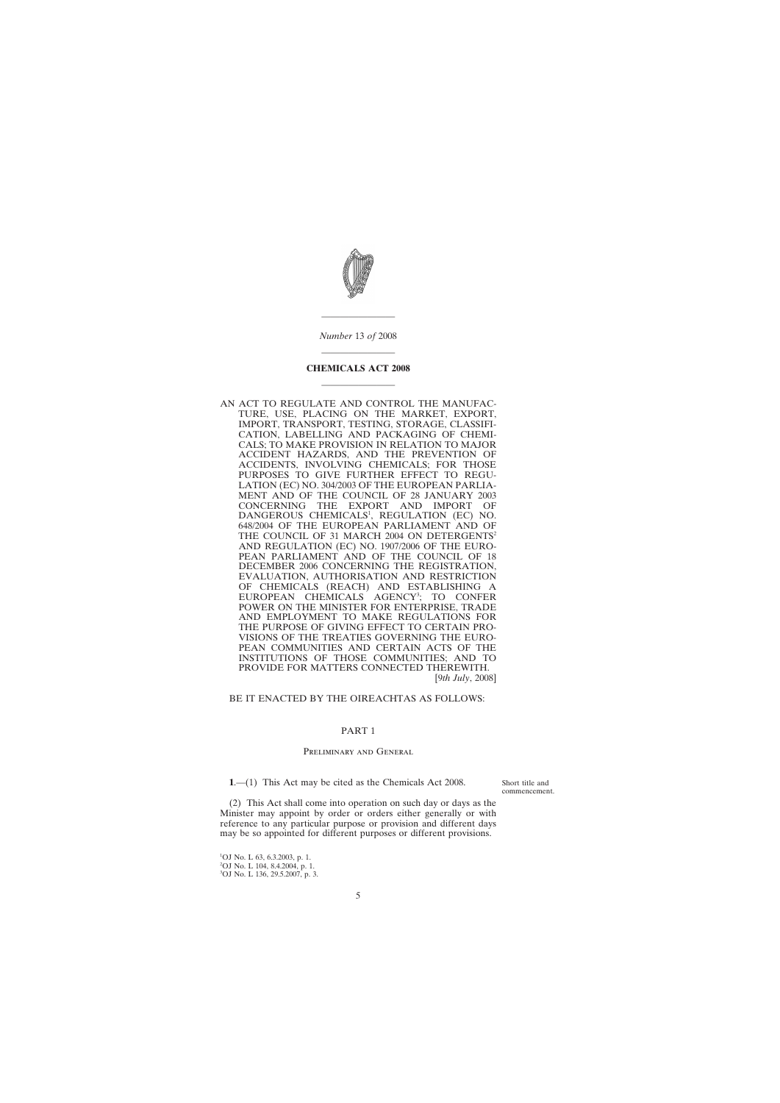<span id="page-4-0"></span>

———————— *Number* 13 *of* 2008

# ———————— **CHEMICALS ACT 2008** ————————

AN ACT TO REGULATE AND CONTROL THE MANUFAC-TURE, USE, PLACING ON THE MARKET, EXPORT, IMPORT, TRANSPORT, TESTING, STORAGE, CLASSIFI-CATION, LABELLING AND PACKAGING OF CHEMI-CALS; TO MAKE PROVISION IN RELATION TO MAJOR ACCIDENT HAZARDS, AND THE PREVENTION OF ACCIDENTS, INVOLVING CHEMICALS; FOR THOSE PURPOSES TO GIVE FURTHER EFFECT TO REGU-LATION (EC) NO. 304/2003 OF THE EUROPEAN PARLIA-MENT AND OF THE COUNCIL OF 28 JANUARY 2003<br>CONCERNING THE EXPORT AND IMPORT OF THE EXPORT AND IMPORT OF DANGEROUS CHEMICALS<sup>1</sup>, REGULATION (EC) NO. 648/2004 OF THE EUROPEAN PARLIAMENT AND OF THE COUNCIL OF 31 MARCH 2004 ON DETERGENTS<sup>2</sup> AND REGULATION (EC) NO. 1907/2006 OF THE EURO-PEAN PARLIAMENT AND OF THE COUNCIL OF 18 DECEMBER 2006 CONCERNING THE REGISTRATION, EVALUATION, AUTHORISATION AND RESTRICTION OF CHEMICALS (REACH) AND ESTABLISHING A EUROPEAN CHEMICALS AGENCY<sup>3</sup>; TO CONFER POWER ON THE MINISTER FOR ENTERPRISE, TRADE AND EMPLOYMENT TO MAKE REGULATIONS FOR THE PURPOSE OF GIVING EFFECT TO CERTAIN PRO-VISIONS OF THE TREATIES GOVERNING THE EURO-PEAN COMMUNITIES AND CERTAIN ACTS OF THE INSTITUTIONS OF THOSE COMMUNITIES; AND TO PROVIDE FOR MATTERS CONNECTED THEREWITH. [9*th July*, 2008]

BE IT ENACTED BY THE OIREACHTAS AS FOLLOWS:

## PART 1

### Preliminary and General

**1**.—(1) This Act may be cited as the Chemicals Act 2008.

Short title and commencement.

(2) This Act shall come into operation on such day or days as the Minister may appoint by order or orders either generally or with reference to any particular purpose or provision and different days may be so appointed for different purposes or different provisions.

1 OJ No. L 63, 6.3.2003, p. 1. 2 OJ No. L 104, 8.4.2004, p. 1.

3 OJ No. L 136, 29.5.2007, p. 3.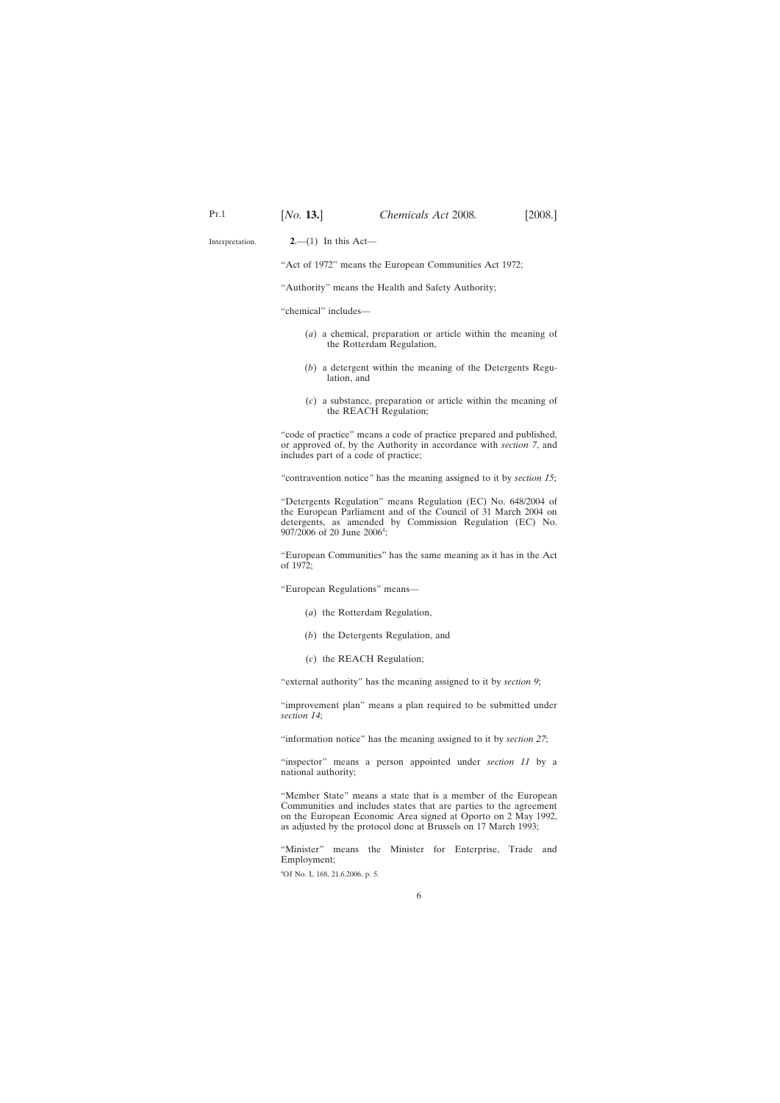<span id="page-5-0"></span>Interpretation.

**2**.—(1) In this Act—

"Act of 1972" means the European Communities Act 1972;

"Authority" means the Health and Safety Authority;

"chemical" includes—

- (*a*) a chemical, preparation or article within the meaning of the Rotterdam Regulation,
- (*b*) a detergent within the meaning of the Detergents Regulation, and
- (*c*) a substance, preparation or article within the meaning of the REACH Regulation;

"code of practice" means a code of practice prepared and published, or approved of, by the Authority in accordance with *section 7*, and includes part of a code of practice;

*"*contravention notice*"* has the meaning assigned to it by *section 15*;

"Detergents Regulation" means Regulation (EC) No. 648/2004 of the European Parliament and of the Council of 31 March 2004 on detergents, as amended by Commission Regulation (EC) No. 907/2006 of 20 June 2006<sup>4</sup>;

"European Communities" has the same meaning as it has in the Act of 1972;

"European Regulations" means—

- (*a*) the Rotterdam Regulation,
- (*b*) the Detergents Regulation, and
- (*c*) the REACH Regulation;

"external authority" has the meaning assigned to it by *section 9*;

"improvement plan" means a plan required to be submitted under *section 14*;

"information notice" has the meaning assigned to it by *section 27*;

"inspector" means a person appointed under *section 11* by a national authority;

"Member State" means a state that is a member of the European Communities and includes states that are parties to the agreement on the European Economic Area signed at Oporto on 2 May 1992, as adjusted by the protocol done at Brussels on 17 March 1993;

"Minister" means the Minister for Enterprise, Trade and Employment;

4 OJ No. L 168, 21.6.2006, p. 5.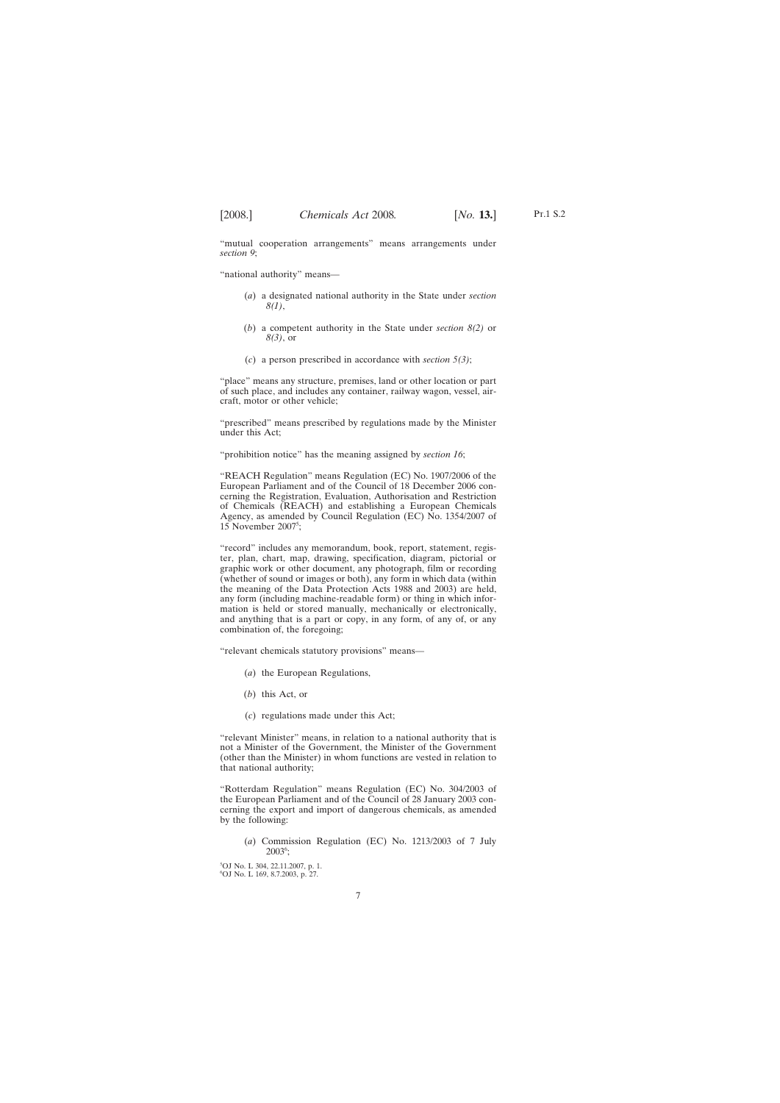"mutual cooperation arrangements" means arrangements under *section 9*;

"national authority" means—

- (*a*) a designated national authority in the State under *section 8(1)*,
- (*b*) a competent authority in the State under *section 8(2)* or *8(3)*, or
- (*c*) a person prescribed in accordance with *section 5(3)*;

"place" means any structure, premises, land or other location or part of such place, and includes any container, railway wagon, vessel, aircraft, motor or other vehicle;

"prescribed" means prescribed by regulations made by the Minister under this Act;

"prohibition notice" has the meaning assigned by *section 16*;

"REACH Regulation" means Regulation (EC) No. 1907/2006 of the European Parliament and of the Council of 18 December 2006 concerning the Registration, Evaluation, Authorisation and Restriction of Chemicals (REACH) and establishing a European Chemicals Agency, as amended by Council Regulation (EC) No. 1354/2007 of  $15$  November  $2007^5$ ;

"record" includes any memorandum, book, report, statement, register, plan, chart, map, drawing, specification, diagram, pictorial or graphic work or other document, any photograph, film or recording (whether of sound or images or both), any form in which data (within the meaning of the Data Protection Acts 1988 and 2003) are held, any form (including machine-readable form) or thing in which information is held or stored manually, mechanically or electronically, and anything that is a part or copy, in any form, of any of, or any combination of, the foregoing;

"relevant chemicals statutory provisions" means—

- (*a*) the European Regulations,
- (*b*) this Act, or
- (*c*) regulations made under this Act;

"relevant Minister" means, in relation to a national authority that is not a Minister of the Government, the Minister of the Government (other than the Minister) in whom functions are vested in relation to that national authority;

"Rotterdam Regulation" means Regulation (EC) No. 304/2003 of the European Parliament and of the Council of 28 January 2003 concerning the export and import of dangerous chemicals, as amended by the following:

(*a*) Commission Regulation (EC) No. 1213/2003 of 7 July 20036 ;

5 OJ No. L 304, 22.11.2007, p. 1. 6 OJ No. L 169, 8.7.2003, p. 27.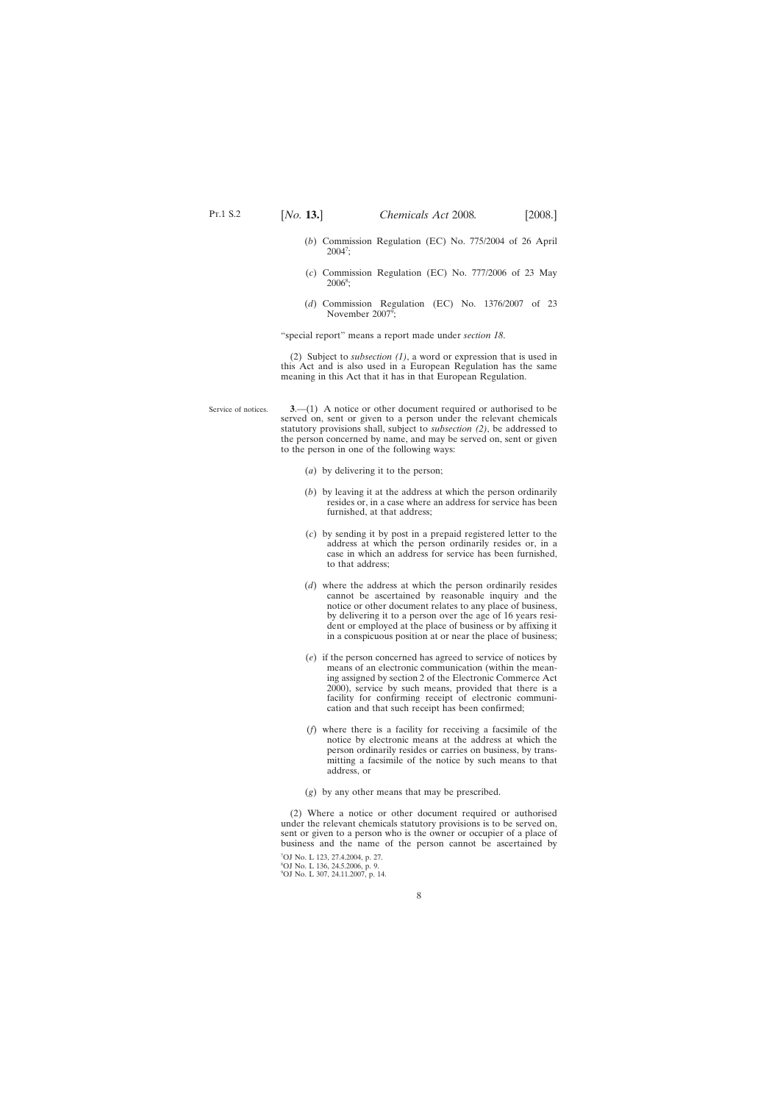<span id="page-7-0"></span>

- (*b*) Commission Regulation (EC) No. 775/2004 of 26 April  $2004^7;$
- (*c*) Commission Regulation (EC) No. 777/2006 of 23 May  $2006^{\circ};$
- (*d*) Commission Regulation (EC) No. 1376/2007 of 23 November  $2007^\circ$ ;

"special report" means a report made under *section 18*.

(2) Subject to *subsection (1)*, a word or expression that is used in this Act and is also used in a European Regulation has the same meaning in this Act that it has in that European Regulation.

- Service of notices. **3**.—(1) A notice or other document required or authorised to be served on, sent or given to a person under the relevant chemicals statutory provisions shall, subject to *subsection (2)*, be addressed to the person concerned by name, and may be served on, sent or given to the person in one of the following ways:
	- (*a*) by delivering it to the person;
	- (*b*) by leaving it at the address at which the person ordinarily resides or, in a case where an address for service has been furnished, at that address;
	- (*c*) by sending it by post in a prepaid registered letter to the address at which the person ordinarily resides or, in a case in which an address for service has been furnished, to that address;
	- (*d*) where the address at which the person ordinarily resides cannot be ascertained by reasonable inquiry and the notice or other document relates to any place of business, by delivering it to a person over the age of 16 years resident or employed at the place of business or by affixing it in a conspicuous position at or near the place of business;
	- (*e*) if the person concerned has agreed to service of notices by means of an electronic communication (within the meaning assigned by section 2 of the Electronic Commerce Act 2000), service by such means, provided that there is a facility for confirming receipt of electronic communication and that such receipt has been confirmed;
	- (*f*) where there is a facility for receiving a facsimile of the notice by electronic means at the address at which the person ordinarily resides or carries on business, by transmitting a facsimile of the notice by such means to that address, or
	- (*g*) by any other means that may be prescribed.

(2) Where a notice or other document required or authorised under the relevant chemicals statutory provisions is to be served on, sent or given to a person who is the owner or occupier of a place of business and the name of the person cannot be ascertained by

7 OJ No. L 123, 27.4.2004, p. 27. 8 OJ No. L 136, 24.5.2006, p. 9. 9 OJ No. L 307, 24.11.2007, p. 14.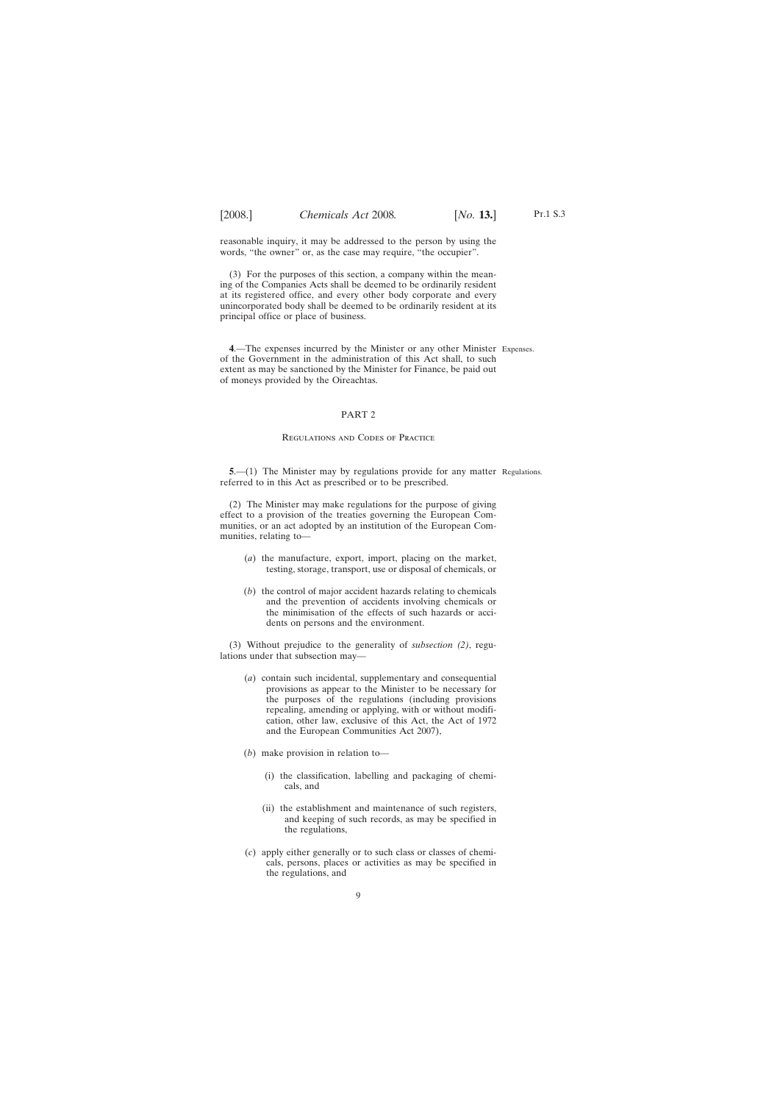<span id="page-8-0"></span>reasonable inquiry, it may be addressed to the person by using the words, "the owner" or, as the case may require, "the occupier".

(3) For the purposes of this section, a company within the meaning of the Companies Acts shall be deemed to be ordinarily resident at its registered office, and every other body corporate and every unincorporated body shall be deemed to be ordinarily resident at its principal office or place of business.

**4**.—The expenses incurred by the Minister or any other Minister Expenses. of the Government in the administration of this Act shall, to such extent as may be sanctioned by the Minister for Finance, be paid out of moneys provided by the Oireachtas.

### PART 2

### Regulations and Codes of Practice

**5.**—(1) The Minister may by regulations provide for any matter Regulations. referred to in this Act as prescribed or to be prescribed.

(2) The Minister may make regulations for the purpose of giving effect to a provision of the treaties governing the European Communities, or an act adopted by an institution of the European Communities, relating to—

- (*a*) the manufacture, export, import, placing on the market, testing, storage, transport, use or disposal of chemicals, or
- (*b*) the control of major accident hazards relating to chemicals and the prevention of accidents involving chemicals or the minimisation of the effects of such hazards or accidents on persons and the environment.

(3) Without prejudice to the generality of *subsection (2)*, regulations under that subsection may—

- (*a*) contain such incidental, supplementary and consequential provisions as appear to the Minister to be necessary for the purposes of the regulations (including provisions repealing, amending or applying, with or without modification, other law, exclusive of this Act, the Act of 1972 and the European Communities Act 2007),
- (*b*) make provision in relation to—
	- (i) the classification, labelling and packaging of chemicals, and
	- (ii) the establishment and maintenance of such registers, and keeping of such records, as may be specified in the regulations,
- (*c*) apply either generally or to such class or classes of chemicals, persons, places or activities as may be specified in the regulations, and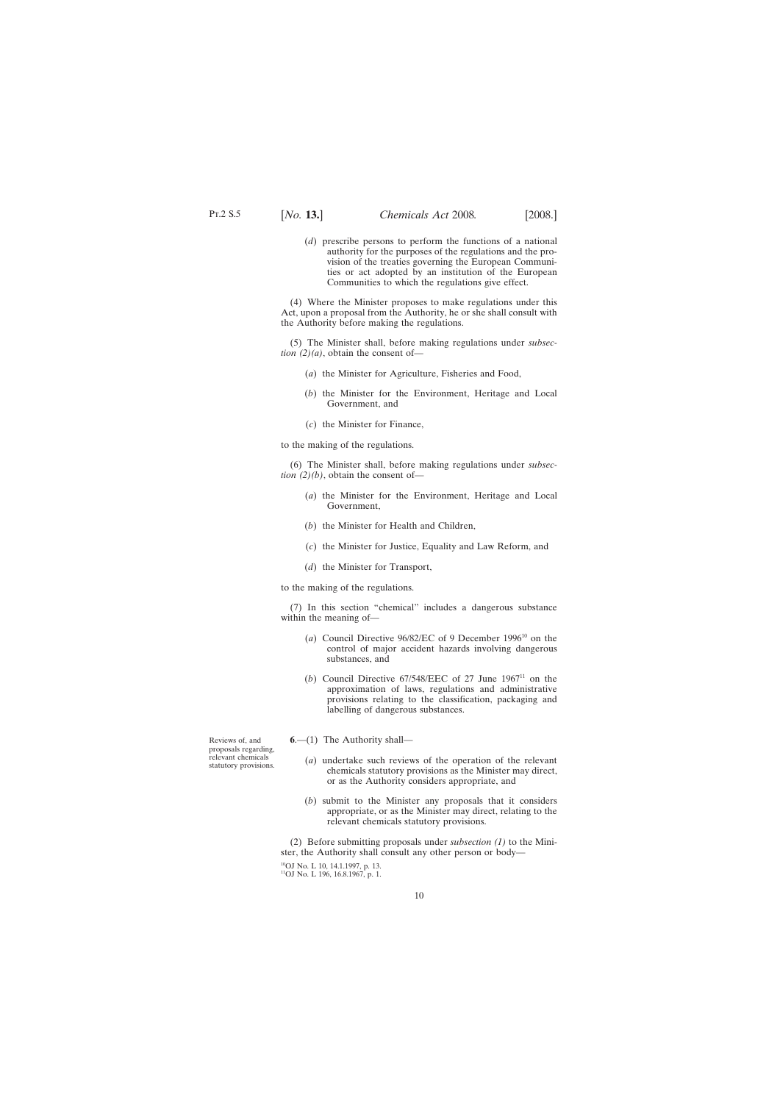<span id="page-9-0"></span>(*d*) prescribe persons to perform the functions of a national authority for the purposes of the regulations and the provision of the treaties governing the European Communities or act adopted by an institution of the European Communities to which the regulations give effect.

(4) Where the Minister proposes to make regulations under this Act, upon a proposal from the Authority, he or she shall consult with the Authority before making the regulations.

(5) The Minister shall, before making regulations under *subsection (2)(a)*, obtain the consent of—

- (*a*) the Minister for Agriculture, Fisheries and Food,
- (*b*) the Minister for the Environment, Heritage and Local Government, and
- (*c*) the Minister for Finance,

to the making of the regulations.

(6) The Minister shall, before making regulations under *subsection (2)(b)*, obtain the consent of—

- (*a*) the Minister for the Environment, Heritage and Local Government,
- (*b*) the Minister for Health and Children,
- (*c*) the Minister for Justice, Equality and Law Reform, and
- (*d*) the Minister for Transport,

to the making of the regulations.

(7) In this section "chemical" includes a dangerous substance within the meaning of—

- (*a*) Council Directive 96/82/EC of 9 December 199610 on the control of major accident hazards involving dangerous substances, and
- (*b*) Council Directive  $67/548/EEC$  of 27 June  $1967<sup>11</sup>$  on the approximation of laws, regulations and administrative provisions relating to the classification, packaging and labelling of dangerous substances.

Reviews of, and proposals regarding, relevant chemicals statutory provisions.

- **6**.—(1) The Authority shall—
	- (*a*) undertake such reviews of the operation of the relevant chemicals statutory provisions as the Minister may direct, or as the Authority considers appropriate, and
	- (*b*) submit to the Minister any proposals that it considers appropriate, or as the Minister may direct, relating to the relevant chemicals statutory provisions.

(2) Before submitting proposals under *subsection (1)* to the Minister, the Authority shall consult any other person or body—

10OJ No. L 10, 14.1.1997, p. 13. <sup>11</sup>OJ No. L 196, 16.8.1967, p. 1.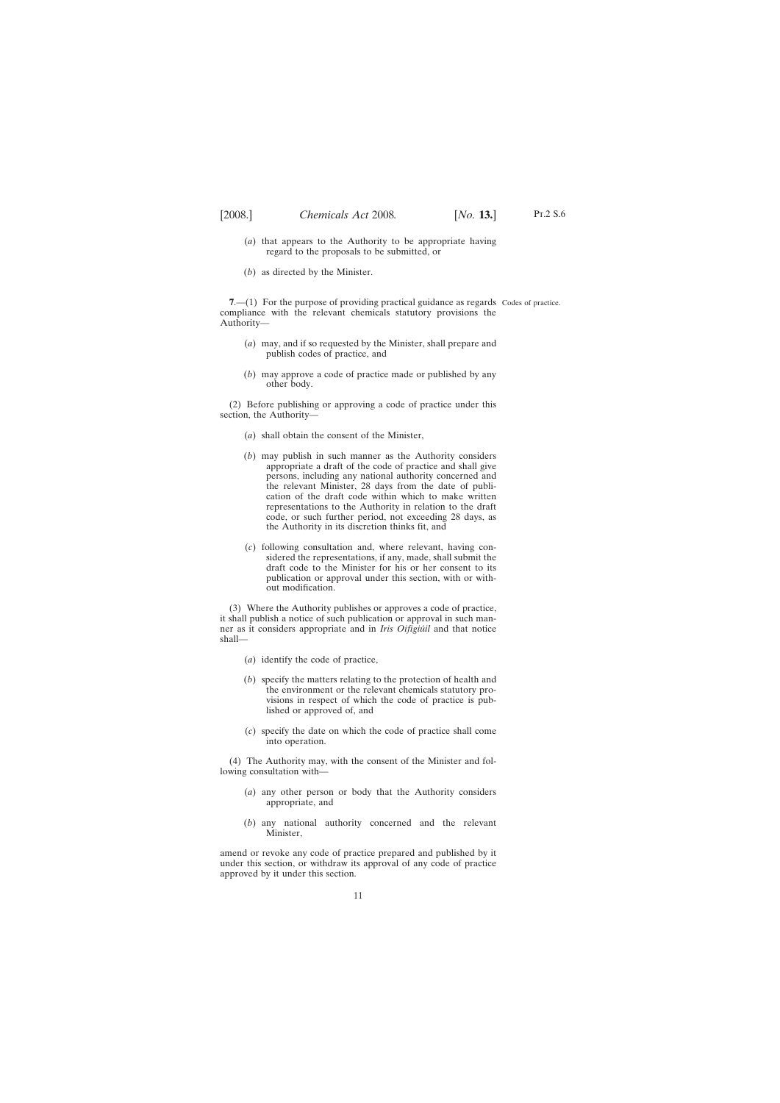- <span id="page-10-0"></span>(*a*) that appears to the Authority to be appropriate having regard to the proposals to be submitted, or
- (*b*) as directed by the Minister.

**7.** (1) For the purpose of providing practical guidance as regards Codes of practice. compliance with the relevant chemicals statutory provisions the Authority—

- (*a*) may, and if so requested by the Minister, shall prepare and publish codes of practice, and
- (*b*) may approve a code of practice made or published by any other body.

(2) Before publishing or approving a code of practice under this section, the Authority—

- (*a*) shall obtain the consent of the Minister,
- (*b*) may publish in such manner as the Authority considers appropriate a draft of the code of practice and shall give persons, including any national authority concerned and the relevant Minister, 28 days from the date of publication of the draft code within which to make written representations to the Authority in relation to the draft code, or such further period, not exceeding 28 days, as the Authority in its discretion thinks fit, and
- (*c*) following consultation and, where relevant, having considered the representations, if any, made, shall submit the draft code to the Minister for his or her consent to its publication or approval under this section, with or without modification.

(3) Where the Authority publishes or approves a code of practice, it shall publish a notice of such publication or approval in such manner as it considers appropriate and in *Iris Oifigiu´il* and that notice shall—

- (*a*) identify the code of practice,
- (*b*) specify the matters relating to the protection of health and the environment or the relevant chemicals statutory provisions in respect of which the code of practice is published or approved of, and
- (*c*) specify the date on which the code of practice shall come into operation.

(4) The Authority may, with the consent of the Minister and following consultation with—

- (*a*) any other person or body that the Authority considers appropriate, and
- (*b*) any national authority concerned and the relevant Minister,

amend or revoke any code of practice prepared and published by it under this section, or withdraw its approval of any code of practice approved by it under this section.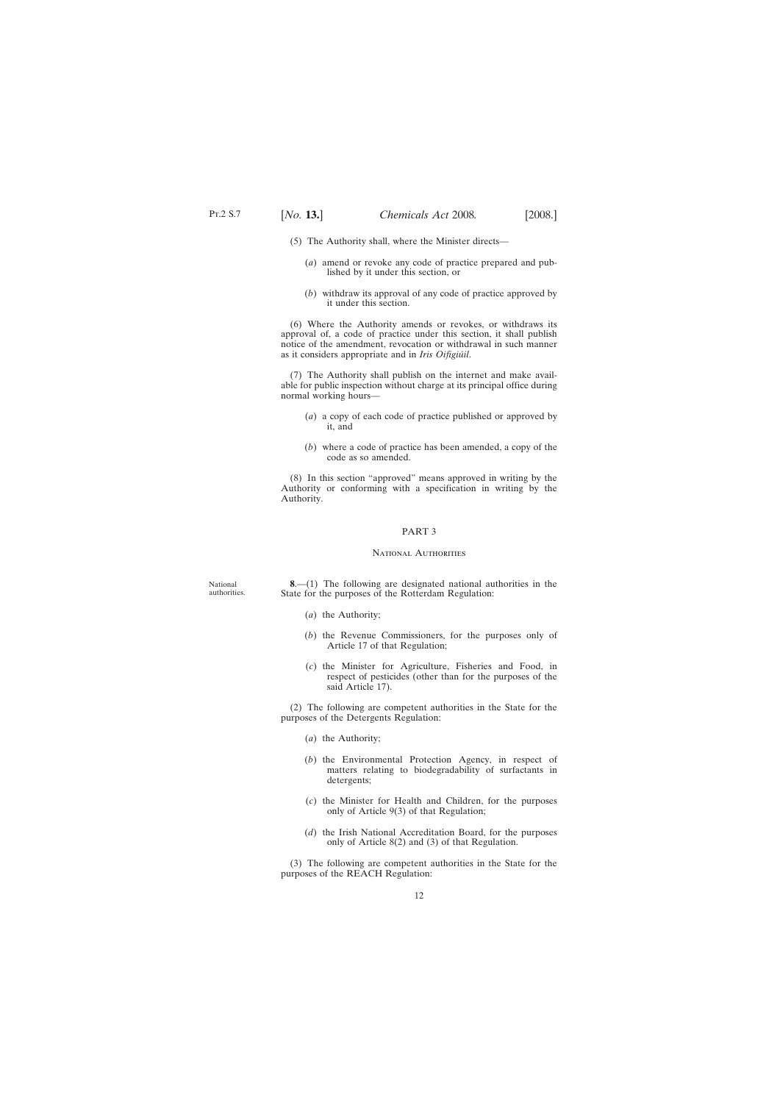<span id="page-11-0"></span>(5) The Authority shall, where the Minister directs—

- (*a*) amend or revoke any code of practice prepared and published by it under this section, or
- (*b*) withdraw its approval of any code of practice approved by it under this section.

(6) Where the Authority amends or revokes, or withdraws its approval of, a code of practice under this section, it shall publish notice of the amendment, revocation or withdrawal in such manner as it considers appropriate and in *Iris Oifigiúil*.

(7) The Authority shall publish on the internet and make available for public inspection without charge at its principal office during normal working hours—

- (*a*) a copy of each code of practice published or approved by it, and
- (*b*) where a code of practice has been amended, a copy of the code as so amended.

(8) In this section "approved" means approved in writing by the Authority or conforming with a specification in writing by the Authority.

### PART 3

### NATIONAL AUTHORITIES

National authorities.

**8**.—(1) The following are designated national authorities in the State for the purposes of the Rotterdam Regulation:

- (*a*) the Authority;
- (*b*) the Revenue Commissioners, for the purposes only of Article 17 of that Regulation;
- (*c*) the Minister for Agriculture, Fisheries and Food, in respect of pesticides (other than for the purposes of the said Article 17).

(2) The following are competent authorities in the State for the purposes of the Detergents Regulation:

- (*a*) the Authority;
- (*b*) the Environmental Protection Agency, in respect of matters relating to biodegradability of surfactants in detergents;
- (*c*) the Minister for Health and Children, for the purposes only of Article 9(3) of that Regulation;
- (*d*) the Irish National Accreditation Board, for the purposes only of Article 8(2) and (3) of that Regulation.

(3) The following are competent authorities in the State for the purposes of the REACH Regulation: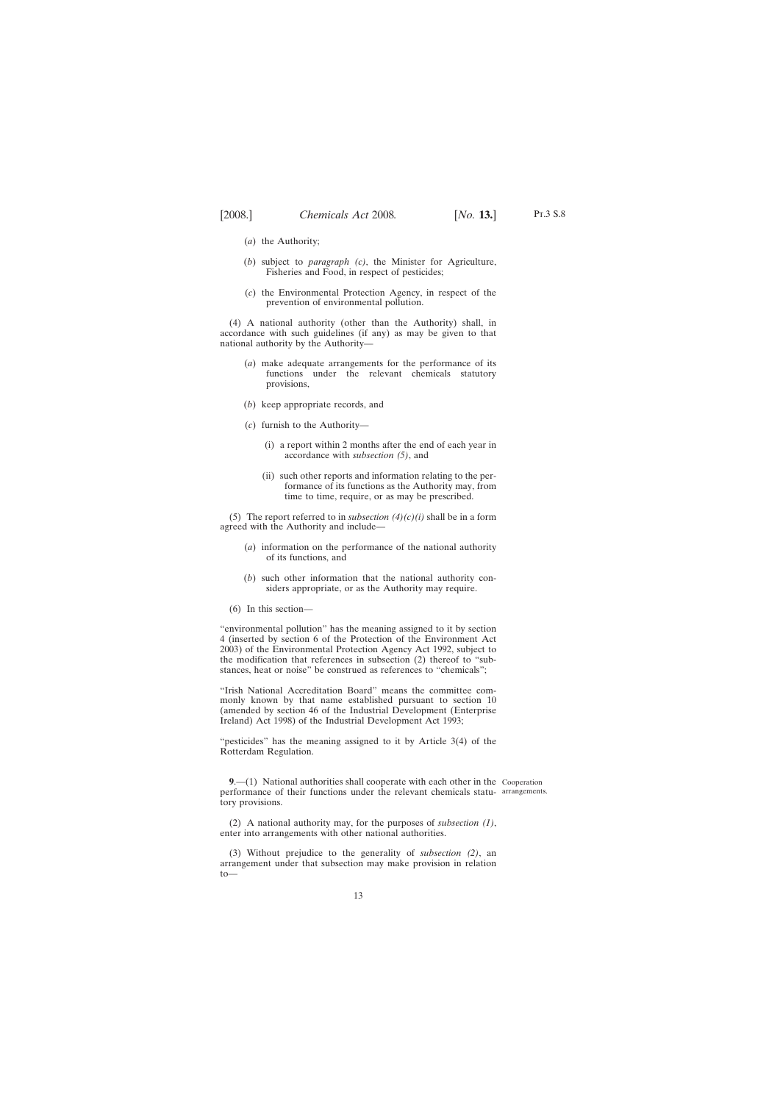- <span id="page-12-0"></span>(*a*) the Authority;
- (*b*) subject to *paragraph (c)*, the Minister for Agriculture, Fisheries and Food, in respect of pesticides;
- (*c*) the Environmental Protection Agency, in respect of the prevention of environmental pollution.

(4) A national authority (other than the Authority) shall, in accordance with such guidelines (if any) as may be given to that national authority by the Authority—

- (*a*) make adequate arrangements for the performance of its functions under the relevant chemicals statutory provisions,
- (*b*) keep appropriate records, and
- (*c*) furnish to the Authority—
	- (i) a report within 2 months after the end of each year in accordance with *subsection (5)*, and
	- (ii) such other reports and information relating to the performance of its functions as the Authority may, from time to time, require, or as may be prescribed.

(5) The report referred to in *subsection*  $(4)(c)(i)$  shall be in a form agreed with the Authority and include—

- (*a*) information on the performance of the national authority of its functions, and
- (*b*) such other information that the national authority considers appropriate, or as the Authority may require.
- (6) In this section—

"environmental pollution" has the meaning assigned to it by section 4 (inserted by section 6 of the Protection of the Environment Act 2003) of the Environmental Protection Agency Act 1992, subject to the modification that references in subsection (2) thereof to "substances, heat or noise" be construed as references to "chemicals";

"Irish National Accreditation Board" means the committee commonly known by that name established pursuant to section 10 (amended by section 46 of the Industrial Development (Enterprise Ireland) Act 1998) of the Industrial Development Act 1993;

"pesticides" has the meaning assigned to it by Article 3(4) of the Rotterdam Regulation.

**9.**—(1) National authorities shall cooperate with each other in the Cooperation performance of their functions under the relevant chemicals statu-arrangements.tory provisions.

(2) A national authority may, for the purposes of *subsection (1)*, enter into arrangements with other national authorities.

(3) Without prejudice to the generality of *subsection (2)*, an arrangement under that subsection may make provision in relation to—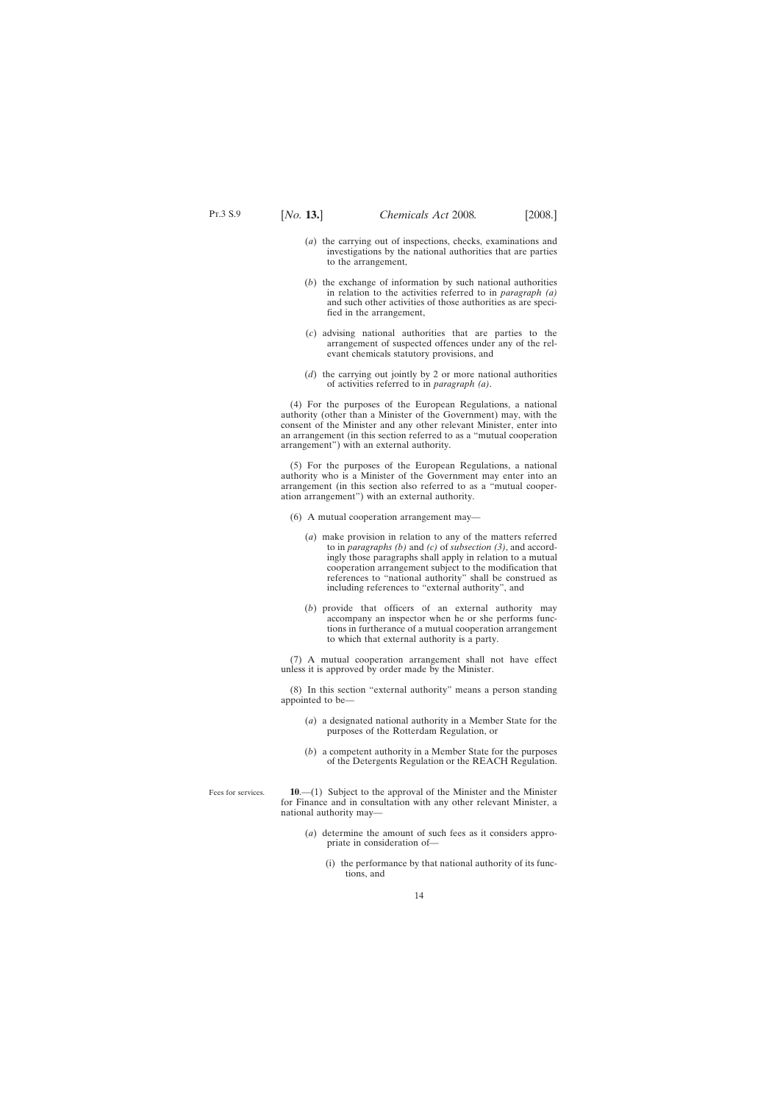- <span id="page-13-0"></span>(*a*) the carrying out of inspections, checks, examinations and investigations by the national authorities that are parties to the arrangement,
- (*b*) the exchange of information by such national authorities in relation to the activities referred to in *paragraph (a)* and such other activities of those authorities as are specified in the arrangement,
- (*c*) advising national authorities that are parties to the arrangement of suspected offences under any of the relevant chemicals statutory provisions, and
- (*d*) the carrying out jointly by 2 or more national authorities of activities referred to in *paragraph (a)*.

(4) For the purposes of the European Regulations, a national authority (other than a Minister of the Government) may, with the consent of the Minister and any other relevant Minister, enter into an arrangement (in this section referred to as a "mutual cooperation arrangement") with an external authority.

(5) For the purposes of the European Regulations, a national authority who is a Minister of the Government may enter into an arrangement (in this section also referred to as a "mutual cooperation arrangement") with an external authority.

- (6) A mutual cooperation arrangement may—
	- (*a*) make provision in relation to any of the matters referred to in *paragraphs (b)* and *(c)* of *subsection (3)*, and accordingly those paragraphs shall apply in relation to a mutual cooperation arrangement subject to the modification that references to "national authority" shall be construed as including references to "external authority", and
	- (*b*) provide that officers of an external authority may accompany an inspector when he or she performs functions in furtherance of a mutual cooperation arrangement to which that external authority is a party.

(7) A mutual cooperation arrangement shall not have effect unless it is approved by order made by the Minister.

(8) In this section "external authority" means a person standing appointed to be—

- (*a*) a designated national authority in a Member State for the purposes of the Rotterdam Regulation, or
- (*b*) a competent authority in a Member State for the purposes of the Detergents Regulation or the REACH Regulation.

Fees for services.

**10**.—(1) Subject to the approval of the Minister and the Minister for Finance and in consultation with any other relevant Minister, a national authority may—

- (*a*) determine the amount of such fees as it considers appropriate in consideration of—
	- (i) the performance by that national authority of its functions, and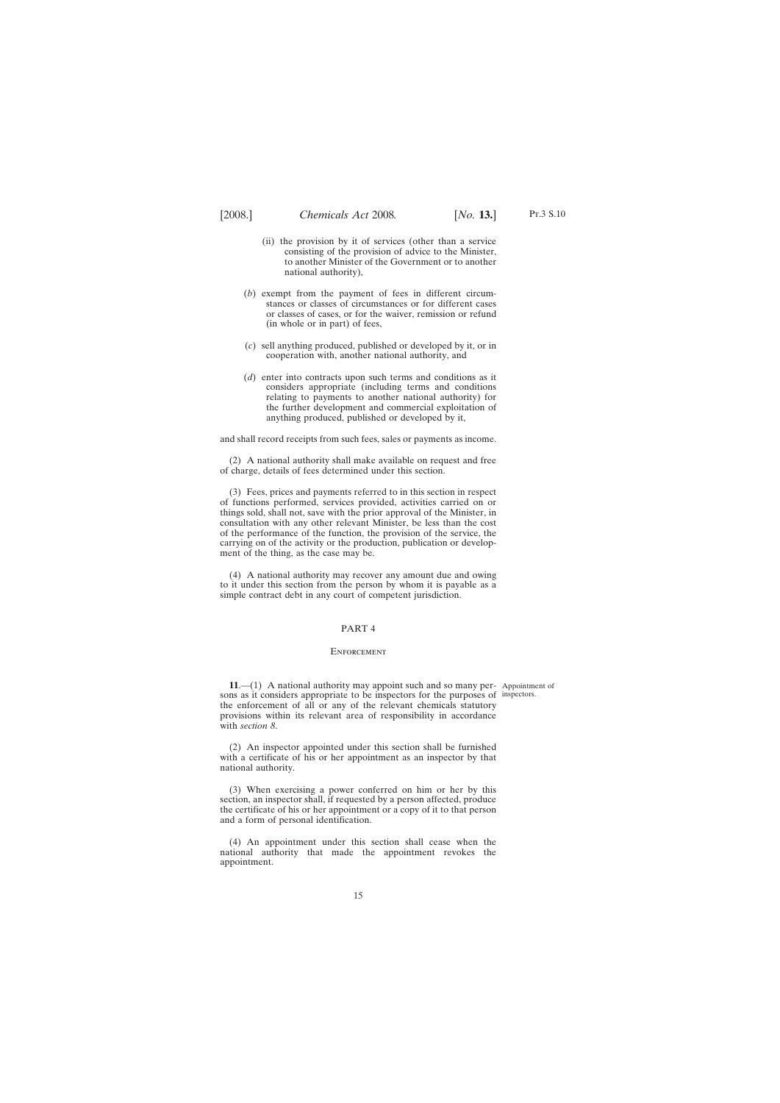- <span id="page-14-0"></span>(ii) the provision by it of services (other than a service consisting of the provision of advice to the Minister, to another Minister of the Government or to another national authority),
- (*b*) exempt from the payment of fees in different circumstances or classes of circumstances or for different cases or classes of cases, or for the waiver, remission or refund (in whole or in part) of fees,
- (*c*) sell anything produced, published or developed by it, or in cooperation with, another national authority, and
- (*d*) enter into contracts upon such terms and conditions as it considers appropriate (including terms and conditions relating to payments to another national authority) for the further development and commercial exploitation of anything produced, published or developed by it,

and shall record receipts from such fees, sales or payments as income.

(2) A national authority shall make available on request and free of charge, details of fees determined under this section.

(3) Fees, prices and payments referred to in this section in respect of functions performed, services provided, activities carried on or things sold, shall not, save with the prior approval of the Minister, in consultation with any other relevant Minister, be less than the cost of the performance of the function, the provision of the service, the carrying on of the activity or the production, publication or development of the thing, as the case may be.

(4) A national authority may recover any amount due and owing to it under this section from the person by whom it is payable as a simple contract debt in any court of competent jurisdiction.

### PART 4

#### **ENFORCEMENT**

**11**.—(1) A national authority may appoint such and so many per-Appointment of sons as it considers appropriate to be inspectors for the purposes of inspectors.the enforcement of all or any of the relevant chemicals statutory provisions within its relevant area of responsibility in accordance with *section 8*.

(2) An inspector appointed under this section shall be furnished with a certificate of his or her appointment as an inspector by that national authority.

(3) When exercising a power conferred on him or her by this section, an inspector shall, if requested by a person affected, produce the certificate of his or her appointment or a copy of it to that person and a form of personal identification.

(4) An appointment under this section shall cease when the national authority that made the appointment revokes the appointment.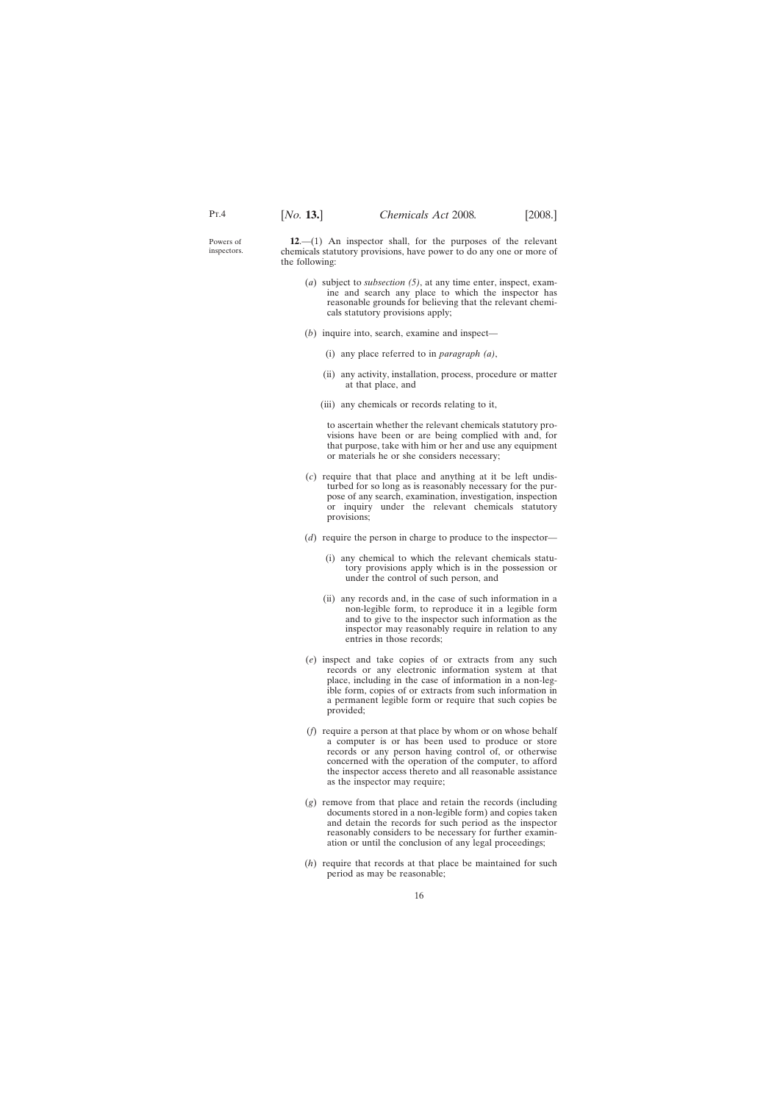<span id="page-15-0"></span>Powers of inspectors.

**12**.—(1) An inspector shall, for the purposes of the relevant chemicals statutory provisions, have power to do any one or more of the following:

- (*a*) subject to *subsection (5)*, at any time enter, inspect, examine and search any place to which the inspector has reasonable grounds for believing that the relevant chemicals statutory provisions apply;
- (*b*) inquire into, search, examine and inspect—
	- (i) any place referred to in *paragraph (a)*,
	- (ii) any activity, installation, process, procedure or matter at that place, and
	- (iii) any chemicals or records relating to it,

to ascertain whether the relevant chemicals statutory provisions have been or are being complied with and, for that purpose, take with him or her and use any equipment or materials he or she considers necessary;

- (*c*) require that that place and anything at it be left undisturbed for so long as is reasonably necessary for the purpose of any search, examination, investigation, inspection or inquiry under the relevant chemicals statutory provisions;
- (*d*) require the person in charge to produce to the inspector—
	- (i) any chemical to which the relevant chemicals statutory provisions apply which is in the possession or under the control of such person, and
	- (ii) any records and, in the case of such information in a non-legible form, to reproduce it in a legible form and to give to the inspector such information as the inspector may reasonably require in relation to any entries in those records;
- (*e*) inspect and take copies of or extracts from any such records or any electronic information system at that place, including in the case of information in a non-legible form, copies of or extracts from such information in a permanent legible form or require that such copies be provided;
- (*f*) require a person at that place by whom or on whose behalf a computer is or has been used to produce or store records or any person having control of, or otherwise concerned with the operation of the computer, to afford the inspector access thereto and all reasonable assistance as the inspector may require;
- (*g*) remove from that place and retain the records (including documents stored in a non-legible form) and copies taken and detain the records for such period as the inspector reasonably considers to be necessary for further examination or until the conclusion of any legal proceedings;
- (*h*) require that records at that place be maintained for such period as may be reasonable;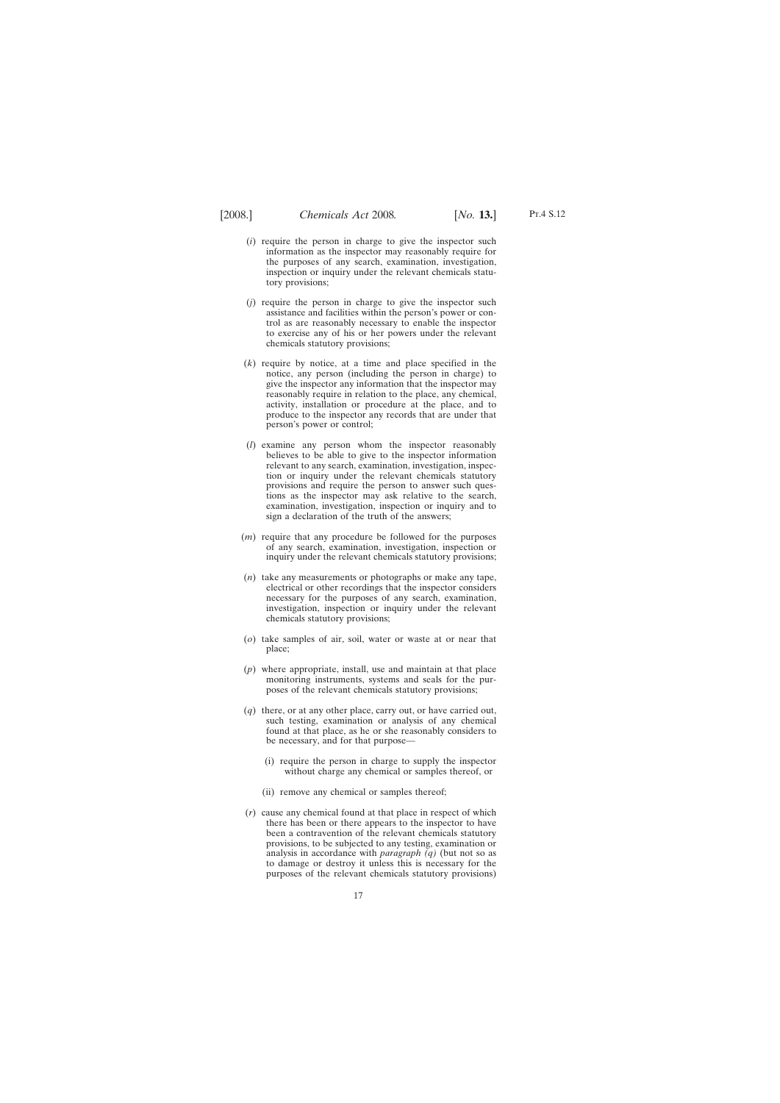- (*i*) require the person in charge to give the inspector such information as the inspector may reasonably require for the purposes of any search, examination, investigation, inspection or inquiry under the relevant chemicals statutory provisions;
- (*j*) require the person in charge to give the inspector such assistance and facilities within the person's power or control as are reasonably necessary to enable the inspector to exercise any of his or her powers under the relevant chemicals statutory provisions;
- (*k*) require by notice, at a time and place specified in the notice, any person (including the person in charge) to give the inspector any information that the inspector may reasonably require in relation to the place, any chemical, activity, installation or procedure at the place, and to produce to the inspector any records that are under that person's power or control;
- (*l*) examine any person whom the inspector reasonably believes to be able to give to the inspector information relevant to any search, examination, investigation, inspection or inquiry under the relevant chemicals statutory provisions and require the person to answer such questions as the inspector may ask relative to the search, examination, investigation, inspection or inquiry and to sign a declaration of the truth of the answers;
- (*m*) require that any procedure be followed for the purposes of any search, examination, investigation, inspection or inquiry under the relevant chemicals statutory provisions;
- (*n*) take any measurements or photographs or make any tape, electrical or other recordings that the inspector considers necessary for the purposes of any search, examination, investigation, inspection or inquiry under the relevant chemicals statutory provisions;
- (*o*) take samples of air, soil, water or waste at or near that place;
- (*p*) where appropriate, install, use and maintain at that place monitoring instruments, systems and seals for the purposes of the relevant chemicals statutory provisions;
- (*q*) there, or at any other place, carry out, or have carried out, such testing, examination or analysis of any chemical found at that place, as he or she reasonably considers to be necessary, and for that purpose—
	- (i) require the person in charge to supply the inspector without charge any chemical or samples thereof, or
	- (ii) remove any chemical or samples thereof;
- (*r*) cause any chemical found at that place in respect of which there has been or there appears to the inspector to have been a contravention of the relevant chemicals statutory provisions, to be subjected to any testing, examination or analysis in accordance with *paragraph (q)* (but not so as to damage or destroy it unless this is necessary for the purposes of the relevant chemicals statutory provisions)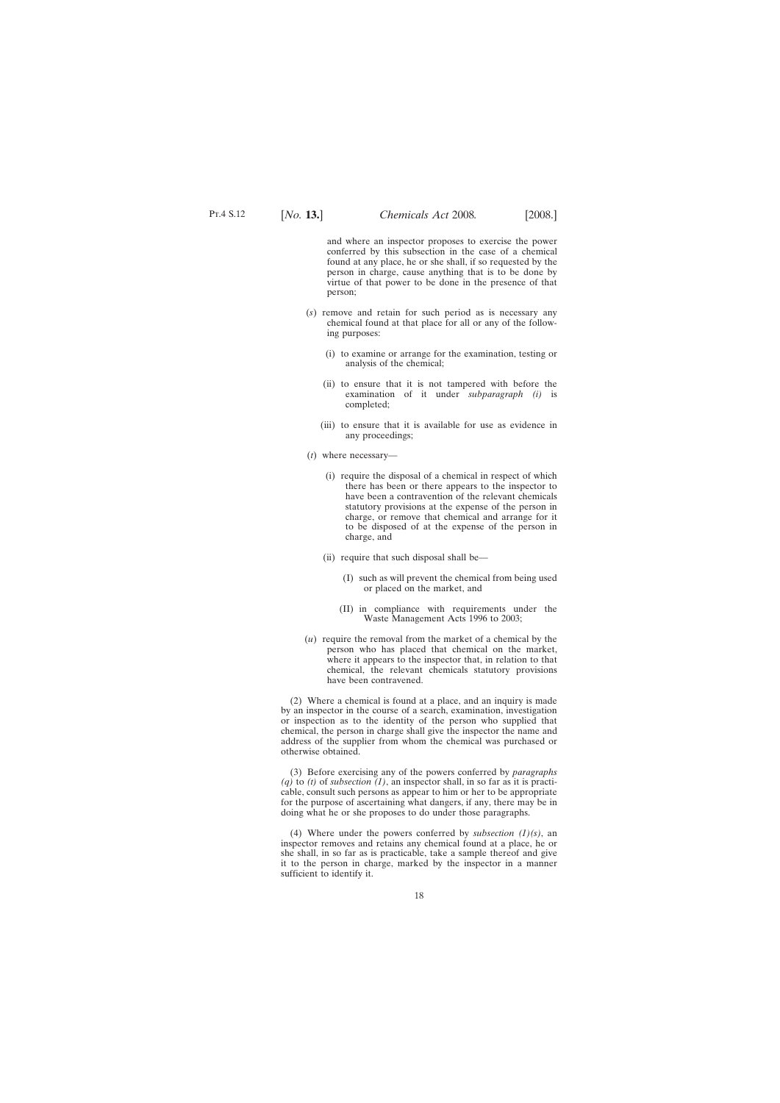and where an inspector proposes to exercise the power conferred by this subsection in the case of a chemical found at any place, he or she shall, if so requested by the person in charge, cause anything that is to be done by virtue of that power to be done in the presence of that person;

- (*s*) remove and retain for such period as is necessary any chemical found at that place for all or any of the following purposes:
	- (i) to examine or arrange for the examination, testing or analysis of the chemical;
	- (ii) to ensure that it is not tampered with before the examination of it under *subparagraph (i)* is completed;
	- (iii) to ensure that it is available for use as evidence in any proceedings;
- (*t*) where necessary—
	- (i) require the disposal of a chemical in respect of which there has been or there appears to the inspector to have been a contravention of the relevant chemicals statutory provisions at the expense of the person in charge, or remove that chemical and arrange for it to be disposed of at the expense of the person in charge, and
	- (ii) require that such disposal shall be—
		- (I) such as will prevent the chemical from being used or placed on the market, and
		- (II) in compliance with requirements under the Waste Management Acts 1996 to 2003;
- (*u*) require the removal from the market of a chemical by the person who has placed that chemical on the market, where it appears to the inspector that, in relation to that chemical, the relevant chemicals statutory provisions have been contravened.

(2) Where a chemical is found at a place, and an inquiry is made by an inspector in the course of a search, examination, investigation or inspection as to the identity of the person who supplied that chemical, the person in charge shall give the inspector the name and address of the supplier from whom the chemical was purchased or otherwise obtained.

(3) Before exercising any of the powers conferred by *paragraphs (q)* to *(t)* of *subsection (1)*, an inspector shall, in so far as it is practicable, consult such persons as appear to him or her to be appropriate for the purpose of ascertaining what dangers, if any, there may be in doing what he or she proposes to do under those paragraphs.

(4) Where under the powers conferred by *subsection (1)(s)*, an inspector removes and retains any chemical found at a place, he or she shall, in so far as is practicable, take a sample thereof and give it to the person in charge, marked by the inspector in a manner sufficient to identify it.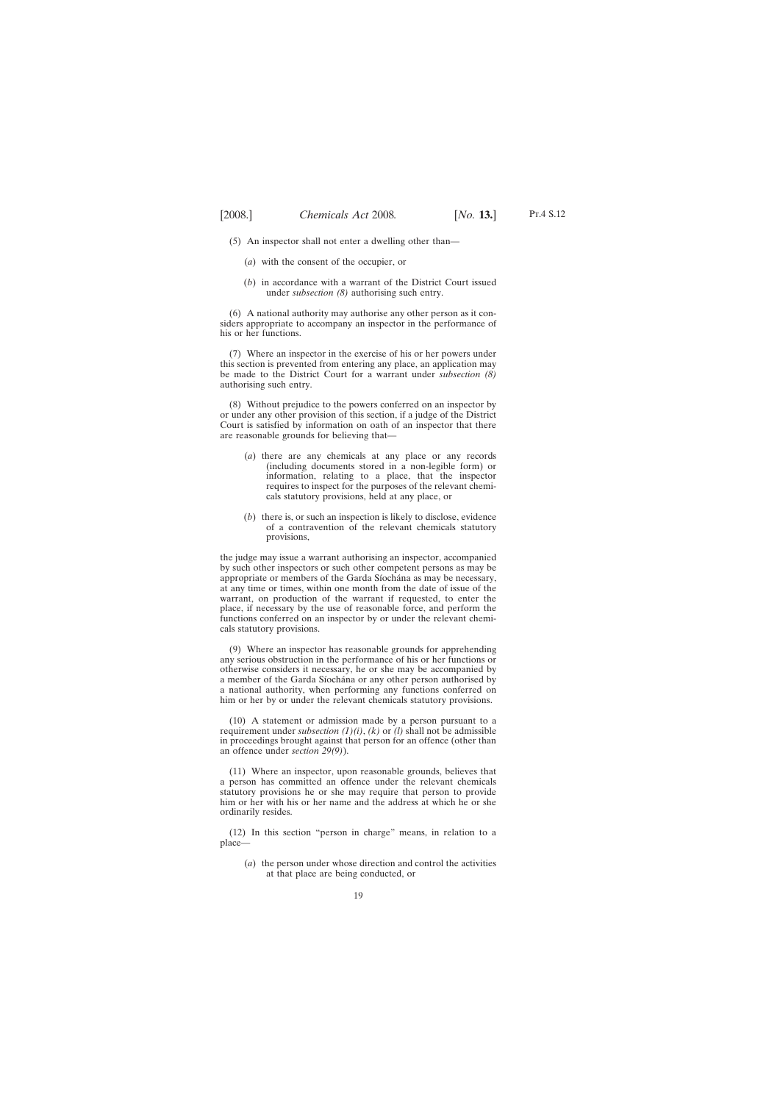(5) An inspector shall not enter a dwelling other than—

- (*a*) with the consent of the occupier, or
- (*b*) in accordance with a warrant of the District Court issued under *subsection (8)* authorising such entry.

(6) A national authority may authorise any other person as it considers appropriate to accompany an inspector in the performance of his or her functions.

(7) Where an inspector in the exercise of his or her powers under this section is prevented from entering any place, an application may be made to the District Court for a warrant under *subsection (8)* authorising such entry.

(8) Without prejudice to the powers conferred on an inspector by or under any other provision of this section, if a judge of the District Court is satisfied by information on oath of an inspector that there are reasonable grounds for believing that—

- (*a*) there are any chemicals at any place or any records (including documents stored in a non-legible form) or information, relating to a place, that the inspector requires to inspect for the purposes of the relevant chemicals statutory provisions, held at any place, or
- (*b*) there is, or such an inspection is likely to disclose, evidence of a contravention of the relevant chemicals statutory provisions,

the judge may issue a warrant authorising an inspector, accompanied by such other inspectors or such other competent persons as may be appropriate or members of the Garda Síochána as may be necessary, at any time or times, within one month from the date of issue of the warrant, on production of the warrant if requested, to enter the place, if necessary by the use of reasonable force, and perform the functions conferred on an inspector by or under the relevant chemicals statutory provisions.

(9) Where an inspector has reasonable grounds for apprehending any serious obstruction in the performance of his or her functions or otherwise considers it necessary, he or she may be accompanied by a member of the Garda Síochána or any other person authorised by a national authority, when performing any functions conferred on him or her by or under the relevant chemicals statutory provisions.

(10) A statement or admission made by a person pursuant to a requirement under *subsection (1)(i)*, *(k)* or *(l)* shall not be admissible in proceedings brought against that person for an offence (other than an offence under *section 29(9)*).

(11) Where an inspector, upon reasonable grounds, believes that a person has committed an offence under the relevant chemicals statutory provisions he or she may require that person to provide him or her with his or her name and the address at which he or she ordinarily resides.

(12) In this section "person in charge" means, in relation to a place—

(*a*) the person under whose direction and control the activities at that place are being conducted, or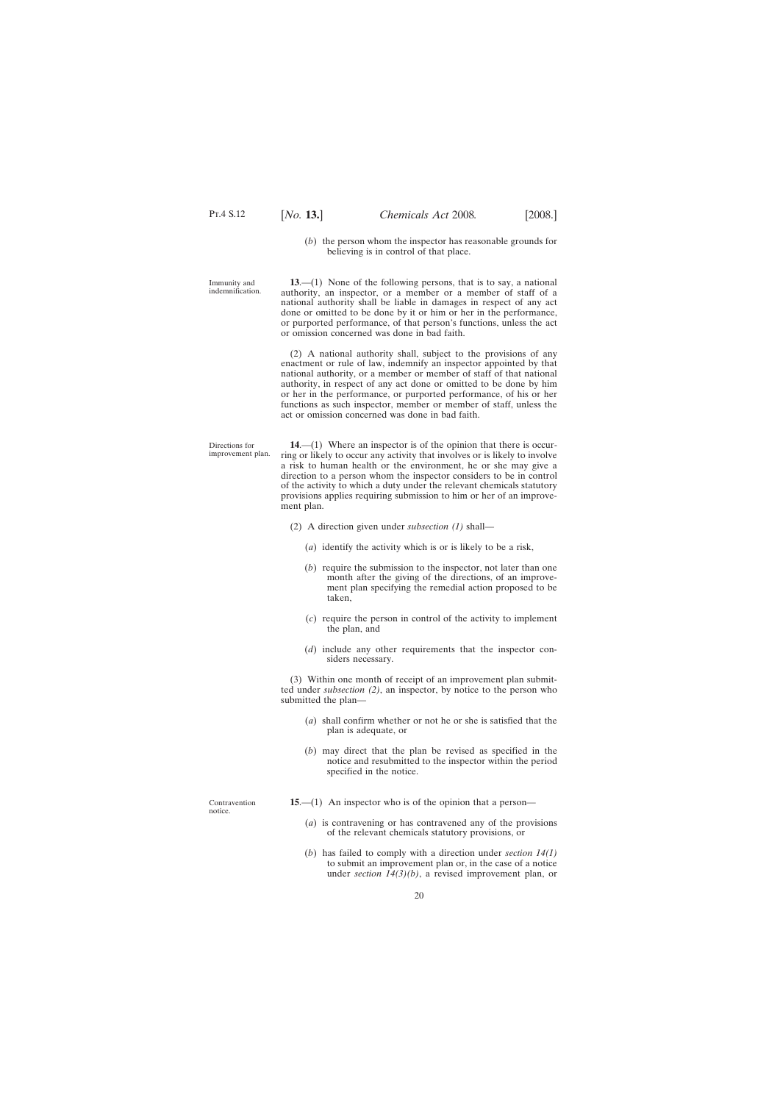(*b*) the person whom the inspector has reasonable grounds for believing is in control of that place.

<span id="page-19-0"></span>Immunity and indemnification.

Directions for improvement plan.

**13**.—(1) None of the following persons, that is to say, a national authority, an inspector, or a member or a member of staff of a national authority shall be liable in damages in respect of any act done or omitted to be done by it or him or her in the performance, or purported performance, of that person's functions, unless the act or omission concerned was done in bad faith.

(2) A national authority shall, subject to the provisions of any enactment or rule of law, indemnify an inspector appointed by that national authority, or a member or member of staff of that national authority, in respect of any act done or omitted to be done by him or her in the performance, or purported performance, of his or her functions as such inspector, member or member of staff, unless the act or omission concerned was done in bad faith.

**14**.—(1) Where an inspector is of the opinion that there is occurring or likely to occur any activity that involves or is likely to involve a risk to human health or the environment, he or she may give a direction to a person whom the inspector considers to be in control of the activity to which a duty under the relevant chemicals statutory provisions applies requiring submission to him or her of an improvement plan.

- (2) A direction given under *subsection (1)* shall—
	- (*a*) identify the activity which is or is likely to be a risk,
	- (*b*) require the submission to the inspector, not later than one month after the giving of the directions, of an improvement plan specifying the remedial action proposed to be taken,
	- (*c*) require the person in control of the activity to implement the plan, and
	- (*d*) include any other requirements that the inspector considers necessary.

(3) Within one month of receipt of an improvement plan submitted under *subsection (2)*, an inspector, by notice to the person who submitted the plan—

- (*a*) shall confirm whether or not he or she is satisfied that the plan is adequate, or
- (*b*) may direct that the plan be revised as specified in the notice and resubmitted to the inspector within the period specified in the notice.

Contravention notice.

- **15**.—(1) An inspector who is of the opinion that a person—
	- (*a*) is contravening or has contravened any of the provisions of the relevant chemicals statutory provisions, or
	- (*b*) has failed to comply with a direction under *section 14(1)* to submit an improvement plan or, in the case of a notice under *section 14(3)(b)*, a revised improvement plan, or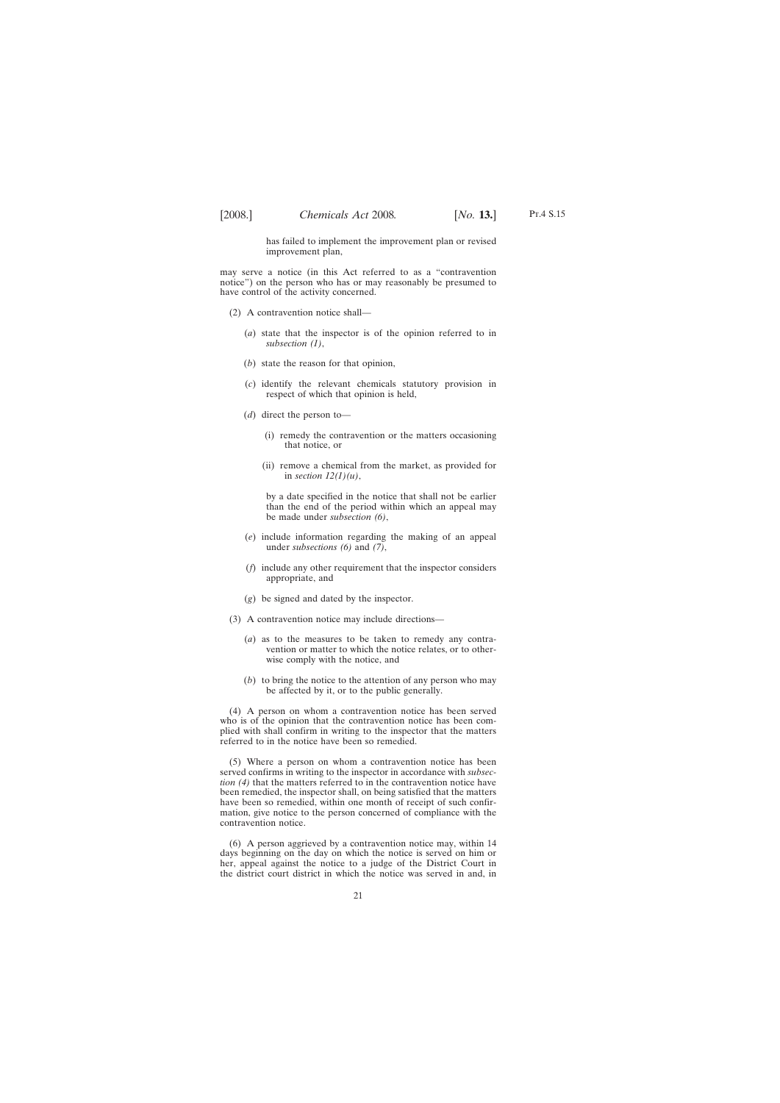has failed to implement the improvement plan or revised improvement plan,

may serve a notice (in this Act referred to as a "contravention notice") on the person who has or may reasonably be presumed to have control of the activity concerned.

- (2) A contravention notice shall—
	- (*a*) state that the inspector is of the opinion referred to in *subsection (1)*,
	- (*b*) state the reason for that opinion,
	- (*c*) identify the relevant chemicals statutory provision in respect of which that opinion is held,
	- (*d*) direct the person to—
		- (i) remedy the contravention or the matters occasioning that notice, or
		- (ii) remove a chemical from the market, as provided for in *section 12(1)(u)*,

by a date specified in the notice that shall not be earlier than the end of the period within which an appeal may be made under *subsection (6)*,

- (*e*) include information regarding the making of an appeal under *subsections (6)* and *(7)*,
- (*f*) include any other requirement that the inspector considers appropriate, and
- (*g*) be signed and dated by the inspector.
- (3) A contravention notice may include directions—
	- (*a*) as to the measures to be taken to remedy any contravention or matter to which the notice relates, or to otherwise comply with the notice, and
	- (*b*) to bring the notice to the attention of any person who may be affected by it, or to the public generally.

(4) A person on whom a contravention notice has been served who is of the opinion that the contravention notice has been complied with shall confirm in writing to the inspector that the matters referred to in the notice have been so remedied.

(5) Where a person on whom a contravention notice has been served confirms in writing to the inspector in accordance with *subsection (4)* that the matters referred to in the contravention notice have been remedied, the inspector shall, on being satisfied that the matters have been so remedied, within one month of receipt of such confirmation, give notice to the person concerned of compliance with the contravention notice.

(6) A person aggrieved by a contravention notice may, within 14 days beginning on the day on which the notice is served on him or her, appeal against the notice to a judge of the District Court in the district court district in which the notice was served in and, in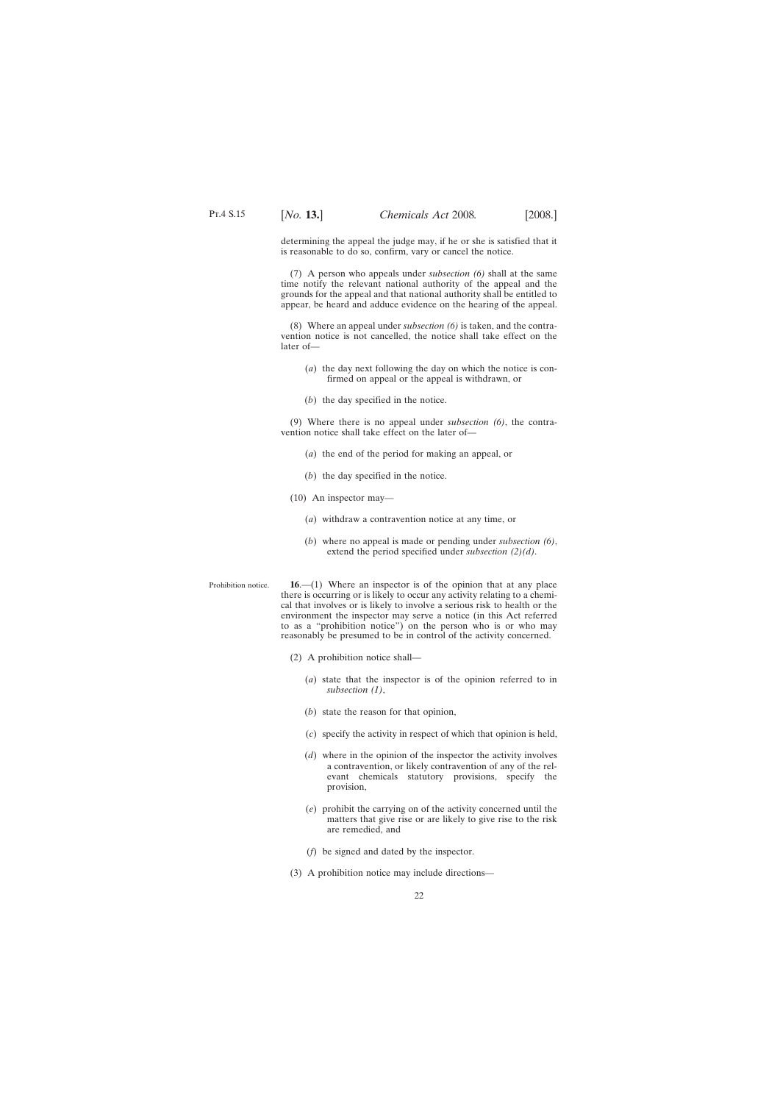<span id="page-21-0"></span>determining the appeal the judge may, if he or she is satisfied that it is reasonable to do so, confirm, vary or cancel the notice.

(7) A person who appeals under *subsection (6)* shall at the same time notify the relevant national authority of the appeal and the grounds for the appeal and that national authority shall be entitled to appear, be heard and adduce evidence on the hearing of the appeal.

(8) Where an appeal under *subsection (6)* is taken, and the contravention notice is not cancelled, the notice shall take effect on the later of—

- (*a*) the day next following the day on which the notice is confirmed on appeal or the appeal is withdrawn, or
- (*b*) the day specified in the notice.

(9) Where there is no appeal under *subsection (6)*, the contravention notice shall take effect on the later of—

- (*a*) the end of the period for making an appeal, or
- (*b*) the day specified in the notice.
- (10) An inspector may—
	- (*a*) withdraw a contravention notice at any time, or
	- (*b*) where no appeal is made or pending under *subsection (6)*, extend the period specified under *subsection (2)(d)*.
- Prohibition notice. **16**.—(1) Where an inspector is of the opinion that at any place there is occurring or is likely to occur any activity relating to a chemical that involves or is likely to involve a serious risk to health or the environment the inspector may serve a notice (in this Act referred to as a "prohibition notice") on the person who is or who may reasonably be presumed to be in control of the activity concerned.
	- (2) A prohibition notice shall—
		- (*a*) state that the inspector is of the opinion referred to in *subsection (1)*,
		- (*b*) state the reason for that opinion,
		- (*c*) specify the activity in respect of which that opinion is held,
		- (*d*) where in the opinion of the inspector the activity involves a contravention, or likely contravention of any of the relevant chemicals statutory provisions, specify the provision,
		- (*e*) prohibit the carrying on of the activity concerned until the matters that give rise or are likely to give rise to the risk are remedied, and
		- (*f*) be signed and dated by the inspector.
	- (3) A prohibition notice may include directions—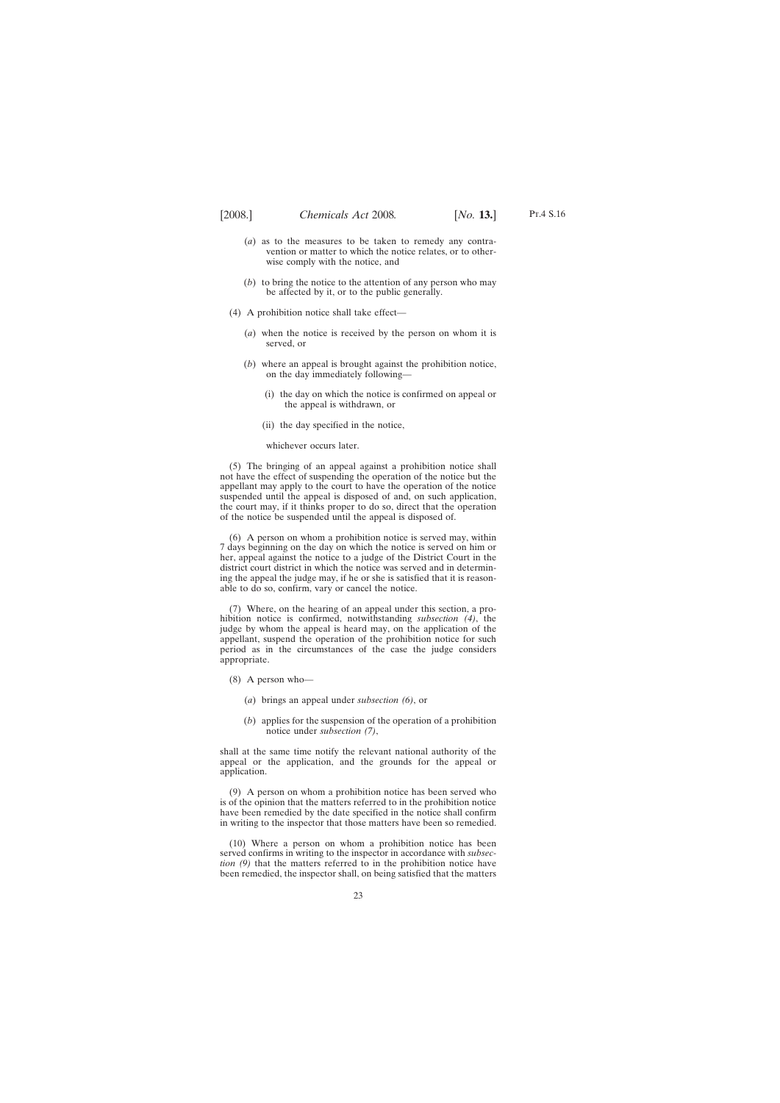- (*a*) as to the measures to be taken to remedy any contravention or matter to which the notice relates, or to otherwise comply with the notice, and
- (*b*) to bring the notice to the attention of any person who may be affected by it, or to the public generally.
- (4) A prohibition notice shall take effect—
	- (*a*) when the notice is received by the person on whom it is served, or
	- (*b*) where an appeal is brought against the prohibition notice, on the day immediately following—
		- (i) the day on which the notice is confirmed on appeal or the appeal is withdrawn, or
		- (ii) the day specified in the notice,

whichever occurs later.

(5) The bringing of an appeal against a prohibition notice shall not have the effect of suspending the operation of the notice but the appellant may apply to the court to have the operation of the notice suspended until the appeal is disposed of and, on such application, the court may, if it thinks proper to do so, direct that the operation of the notice be suspended until the appeal is disposed of.

(6) A person on whom a prohibition notice is served may, within 7 days beginning on the day on which the notice is served on him or her, appeal against the notice to a judge of the District Court in the district court district in which the notice was served and in determining the appeal the judge may, if he or she is satisfied that it is reasonable to do so, confirm, vary or cancel the notice.

(7) Where, on the hearing of an appeal under this section, a prohibition notice is confirmed, notwithstanding *subsection (4)*, the judge by whom the appeal is heard may, on the application of the appellant, suspend the operation of the prohibition notice for such period as in the circumstances of the case the judge considers appropriate.

- (8) A person who—
	- (*a*) brings an appeal under *subsection (6)*, or
	- (*b*) applies for the suspension of the operation of a prohibition notice under *subsection (7)*,

shall at the same time notify the relevant national authority of the appeal or the application, and the grounds for the appeal or application.

(9) A person on whom a prohibition notice has been served who is of the opinion that the matters referred to in the prohibition notice have been remedied by the date specified in the notice shall confirm in writing to the inspector that those matters have been so remedied.

(10) Where a person on whom a prohibition notice has been served confirms in writing to the inspector in accordance with *subsection (9)* that the matters referred to in the prohibition notice have been remedied, the inspector shall, on being satisfied that the matters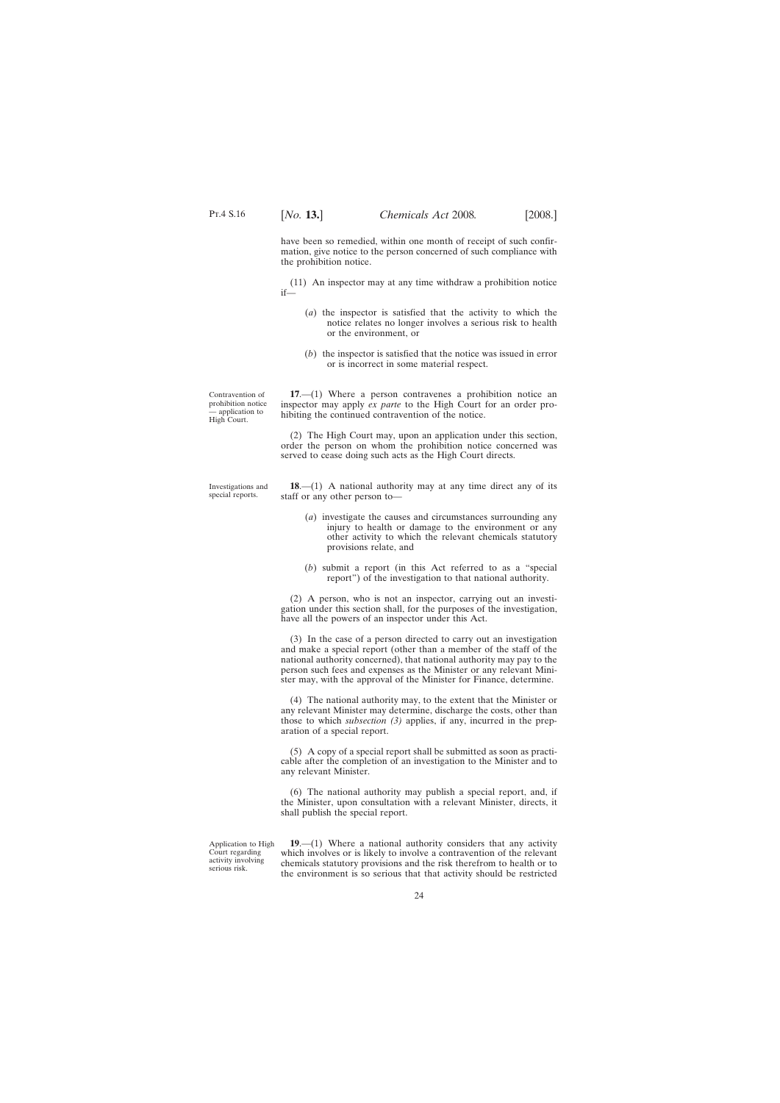<span id="page-23-0"></span>have been so remedied, within one month of receipt of such confirmation, give notice to the person concerned of such compliance with the prohibition notice.

(11) An inspector may at any time withdraw a prohibition notice if—

- (*a*) the inspector is satisfied that the activity to which the notice relates no longer involves a serious risk to health or the environment, or
- (*b*) the inspector is satisfied that the notice was issued in error or is incorrect in some material respect.

Contravention of prohibition notice — application to High Court.

**17**.—(1) Where a person contravenes a prohibition notice an inspector may apply *ex parte* to the High Court for an order prohibiting the continued contravention of the notice.

(2) The High Court may, upon an application under this section, order the person on whom the prohibition notice concerned was served to cease doing such acts as the High Court directs.

Investigations and special reports.

**18**.—(1) A national authority may at any time direct any of its staff or any other person to—

- (*a*) investigate the causes and circumstances surrounding any injury to health or damage to the environment or any other activity to which the relevant chemicals statutory provisions relate, and
- (*b*) submit a report (in this Act referred to as a "special report") of the investigation to that national authority.

(2) A person, who is not an inspector, carrying out an investigation under this section shall, for the purposes of the investigation, have all the powers of an inspector under this Act.

(3) In the case of a person directed to carry out an investigation and make a special report (other than a member of the staff of the national authority concerned), that national authority may pay to the person such fees and expenses as the Minister or any relevant Minister may, with the approval of the Minister for Finance, determine.

(4) The national authority may, to the extent that the Minister or any relevant Minister may determine, discharge the costs, other than those to which *subsection (3)* applies, if any, incurred in the preparation of a special report.

(5) A copy of a special report shall be submitted as soon as practicable after the completion of an investigation to the Minister and to any relevant Minister.

(6) The national authority may publish a special report, and, if the Minister, upon consultation with a relevant Minister, directs, it shall publish the special report.

Application to High Court regarding activity involving serious risk.

**19**.—(1) Where a national authority considers that any activity which involves or is likely to involve a contravention of the relevant chemicals statutory provisions and the risk therefrom to health or to the environment is so serious that that activity should be restricted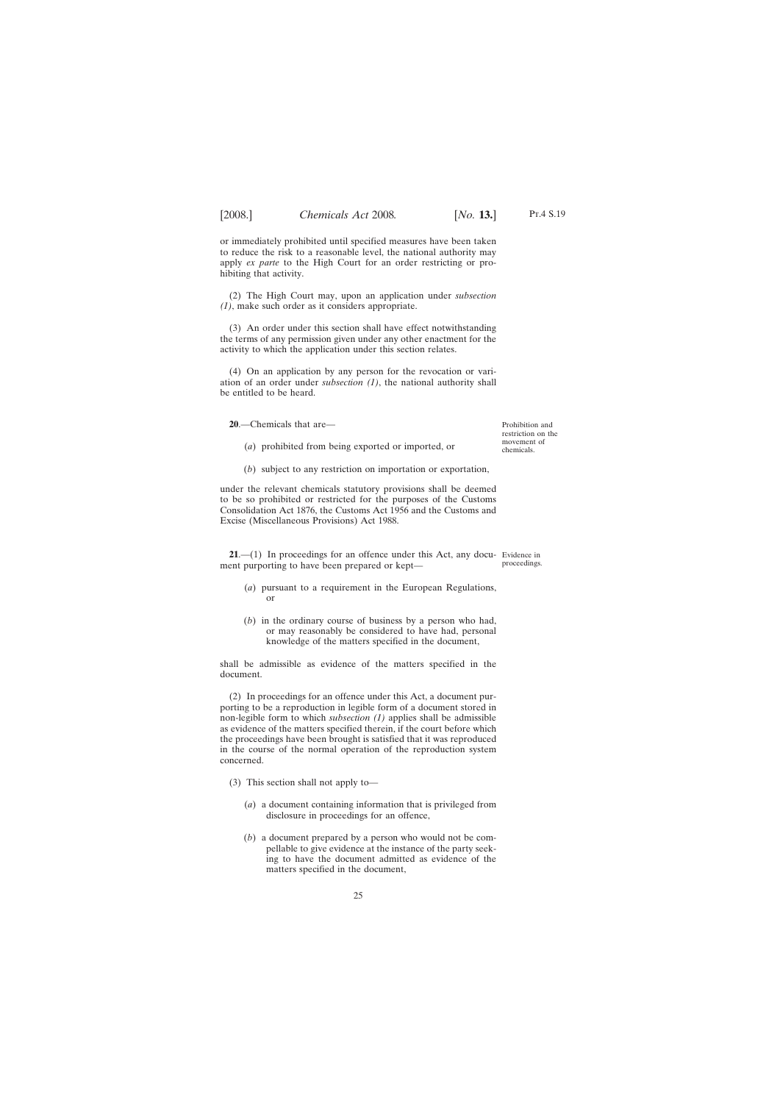<span id="page-24-0"></span>or immediately prohibited until specified measures have been taken to reduce the risk to a reasonable level, the national authority may apply *ex parte* to the High Court for an order restricting or prohibiting that activity.

(2) The High Court may, upon an application under *subsection (1)*, make such order as it considers appropriate.

(3) An order under this section shall have effect notwithstanding the terms of any permission given under any other enactment for the activity to which the application under this section relates.

(4) On an application by any person for the revocation or variation of an order under *subsection (1)*, the national authority shall be entitled to be heard.

**20**.—Chemicals that are—

(*a*) prohibited from being exported or imported, or

Prohibition and restriction on the movement of chemicals.

proceedings.

(*b*) subject to any restriction on importation or exportation,

under the relevant chemicals statutory provisions shall be deemed to be so prohibited or restricted for the purposes of the Customs Consolidation Act 1876, the Customs Act 1956 and the Customs and Excise (Miscellaneous Provisions) Act 1988.

**21.**—(1) In proceedings for an offence under this Act, any docu- Evidence in ment purporting to have been prepared or kept—

- (*a*) pursuant to a requirement in the European Regulations, or
- (*b*) in the ordinary course of business by a person who had, or may reasonably be considered to have had, personal knowledge of the matters specified in the document,

shall be admissible as evidence of the matters specified in the document.

(2) In proceedings for an offence under this Act, a document purporting to be a reproduction in legible form of a document stored in non-legible form to which *subsection (1)* applies shall be admissible as evidence of the matters specified therein, if the court before which the proceedings have been brought is satisfied that it was reproduced in the course of the normal operation of the reproduction system concerned.

- (3) This section shall not apply to—
	- (*a*) a document containing information that is privileged from disclosure in proceedings for an offence,
	- (*b*) a document prepared by a person who would not be compellable to give evidence at the instance of the party seeking to have the document admitted as evidence of the matters specified in the document,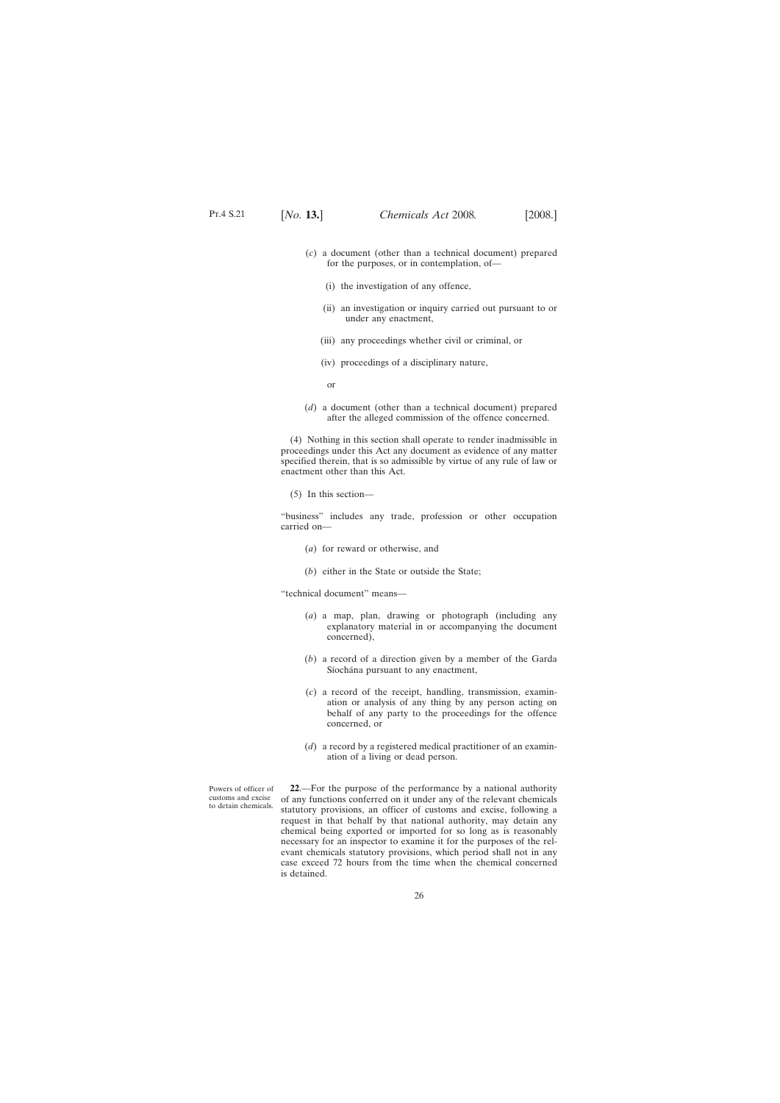- <span id="page-25-0"></span>(*c*) a document (other than a technical document) prepared for the purposes, or in contemplation, of—
	- (i) the investigation of any offence,
	- (ii) an investigation or inquiry carried out pursuant to or under any enactment,
	- (iii) any proceedings whether civil or criminal, or
	- (iv) proceedings of a disciplinary nature,
	- or
- (*d*) a document (other than a technical document) prepared after the alleged commission of the offence concerned.

(4) Nothing in this section shall operate to render inadmissible in proceedings under this Act any document as evidence of any matter specified therein, that is so admissible by virtue of any rule of law or enactment other than this Act.

(5) In this section—

"business" includes any trade, profession or other occupation carried on—

- (*a*) for reward or otherwise, and
- (*b*) either in the State or outside the State;

"technical document" means—

- (*a*) a map, plan, drawing or photograph (including any explanatory material in or accompanying the document concerned),
- (*b*) a record of a direction given by a member of the Garda Síochána pursuant to any enactment,
- (*c*) a record of the receipt, handling, transmission, examination or analysis of any thing by any person acting on behalf of any party to the proceedings for the offence concerned, or
- (*d*) a record by a registered medical practitioner of an examination of a living or dead person.

Powers of officer of customs and excise to detain chemicals.

**22**.—For the purpose of the performance by a national authority of any functions conferred on it under any of the relevant chemicals statutory provisions, an officer of customs and excise, following a request in that behalf by that national authority, may detain any chemical being exported or imported for so long as is reasonably necessary for an inspector to examine it for the purposes of the relevant chemicals statutory provisions, which period shall not in any case exceed 72 hours from the time when the chemical concerned is detained.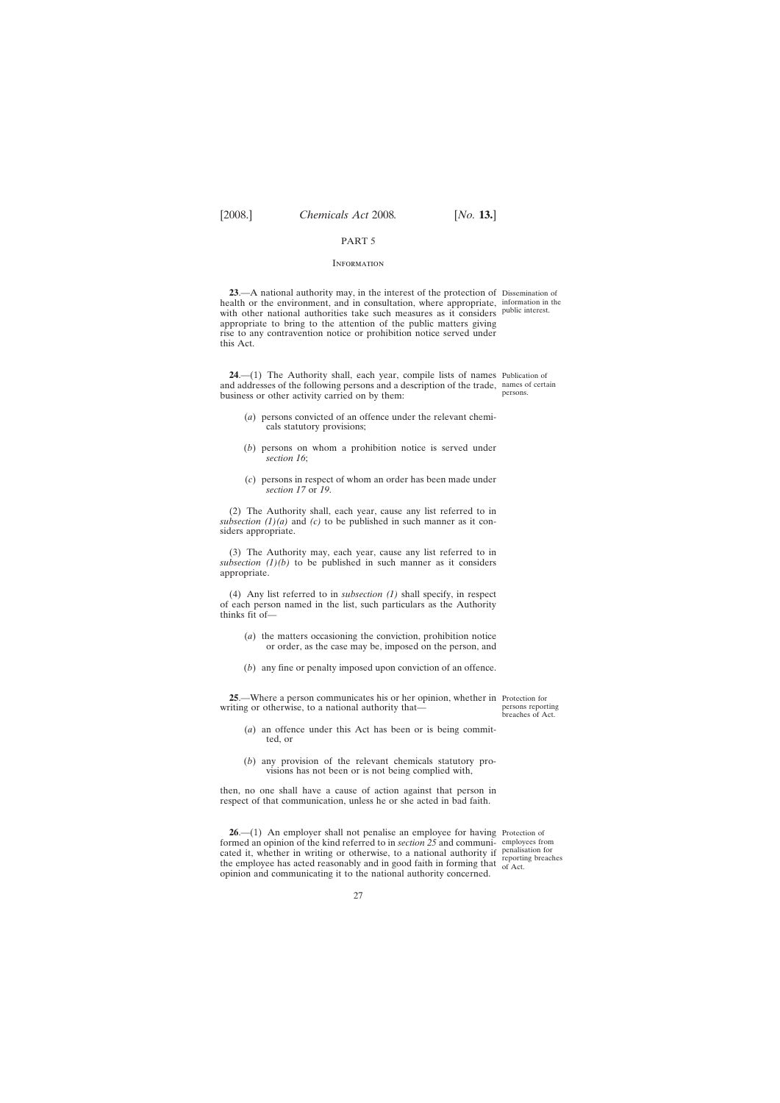# PART 5

### **INFORMATION**

<span id="page-26-0"></span>**23**.—A national authority may, in the interest of the protection of Dissemination of health or the environment, and in consultation, where appropriate, information in the with other national authorities take such measures as it considers public interest. appropriate to bring to the attention of the public matters giving rise to any contravention notice or prohibition notice served under this Act.

**24**.—(1) The Authority shall, each year, compile lists of names Publication of and addresses of the following persons and a description of the trade, names of certain business or other activity carried on by them: persons.

- (*a*) persons convicted of an offence under the relevant chemicals statutory provisions;
- (*b*) persons on whom a prohibition notice is served under *section 16*;
- (*c*) persons in respect of whom an order has been made under *section 17* or *19*.

(2) The Authority shall, each year, cause any list referred to in *subsection (1)(a)* and *(c)* to be published in such manner as it considers appropriate.

(3) The Authority may, each year, cause any list referred to in subsection  $(1)(b)$  to be published in such manner as it considers appropriate.

(4) Any list referred to in *subsection (1)* shall specify, in respect of each person named in the list, such particulars as the Authority thinks fit of—

- (*a*) the matters occasioning the conviction, prohibition notice or order, as the case may be, imposed on the person, and
- (*b*) any fine or penalty imposed upon conviction of an offence.

**25**.—Where a person communicates his or her opinion, whether in Protection for writing or otherwise, to a national authority that—

persons reporting breaches of Act.

- (*a*) an offence under this Act has been or is being committed, or
- (*b*) any provision of the relevant chemicals statutory provisions has not been or is not being complied with,

then, no one shall have a cause of action against that person in respect of that communication, unless he or she acted in bad faith.

**26.**—(1) An employer shall not penalise an employee for having Protection of formed an opinion of the kind referred to in *section 25* and communi-employees from cated it, whether in writing or otherwise, to a national authority if the employee has acted reasonably and in good faith in forming that opinion and communicating it to the national authority concerned.

penalisation for reporting breaches of Act.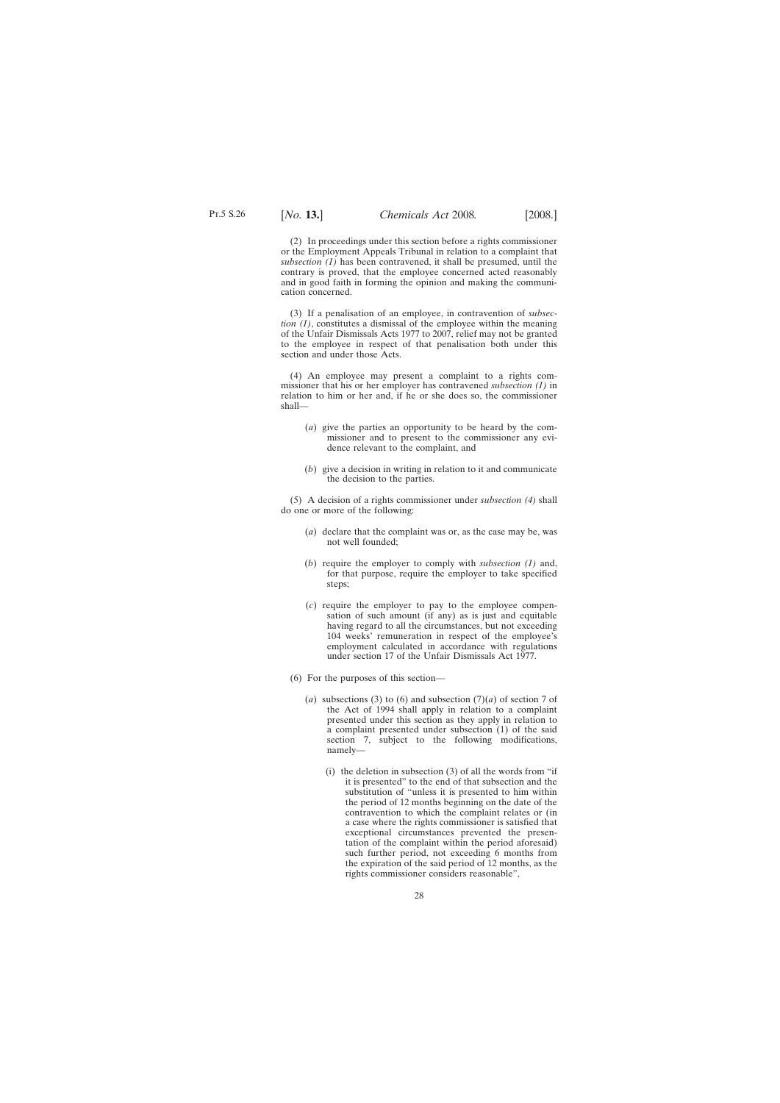(2) In proceedings under this section before a rights commissioner or the Employment Appeals Tribunal in relation to a complaint that *subsection (1)* has been contravened, it shall be presumed, until the contrary is proved, that the employee concerned acted reasonably and in good faith in forming the opinion and making the communication concerned.

(3) If a penalisation of an employee, in contravention of *subsection (1)*, constitutes a dismissal of the employee within the meaning of the Unfair Dismissals Acts 1977 to 2007, relief may not be granted to the employee in respect of that penalisation both under this section and under those Acts.

(4) An employee may present a complaint to a rights commissioner that his or her employer has contravened *subsection (1)* in relation to him or her and, if he or she does so, the commissioner shall—

- (*a*) give the parties an opportunity to be heard by the commissioner and to present to the commissioner any evidence relevant to the complaint, and
- (*b*) give a decision in writing in relation to it and communicate the decision to the parties.

(5) A decision of a rights commissioner under *subsection (4)* shall do one or more of the following:

- (*a*) declare that the complaint was or, as the case may be, was not well founded;
- (*b*) require the employer to comply with *subsection (1)* and, for that purpose, require the employer to take specified steps;
- (*c*) require the employer to pay to the employee compensation of such amount (if any) as is just and equitable having regard to all the circumstances, but not exceeding 104 weeks' remuneration in respect of the employee's employment calculated in accordance with regulations under section 17 of the Unfair Dismissals Act 1977.
- (6) For the purposes of this section—
	- (*a*) subsections (3) to (6) and subsection (7)(*a*) of section 7 of the Act of 1994 shall apply in relation to a complaint presented under this section as they apply in relation to a complaint presented under subsection (1) of the said section 7, subject to the following modifications, namely—
		- (i) the deletion in subsection  $(3)$  of all the words from "if it is presented" to the end of that subsection and the substitution of "unless it is presented to him within the period of 12 months beginning on the date of the contravention to which the complaint relates or (in a case where the rights commissioner is satisfied that exceptional circumstances prevented the presentation of the complaint within the period aforesaid) such further period, not exceeding 6 months from the expiration of the said period of 12 months, as the rights commissioner considers reasonable",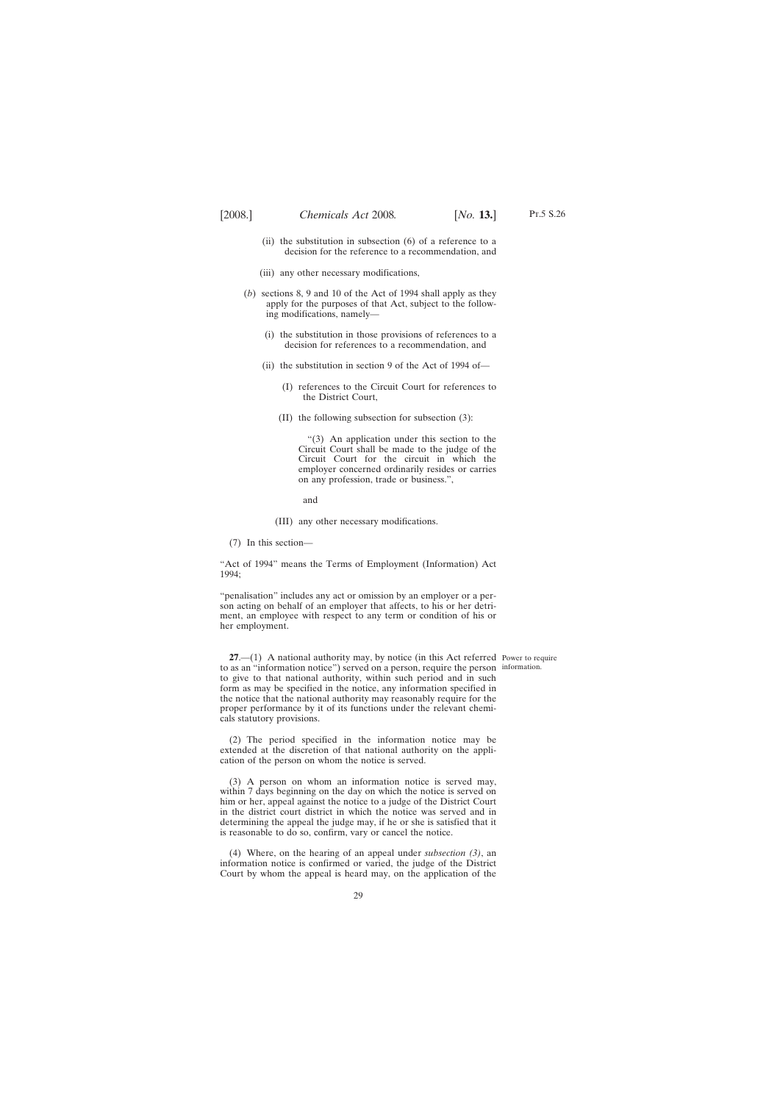- <span id="page-28-0"></span>(ii) the substitution in subsection (6) of a reference to a decision for the reference to a recommendation, and
- (iii) any other necessary modifications,
- (*b*) sections 8, 9 and 10 of the Act of 1994 shall apply as they apply for the purposes of that Act, subject to the following modifications, namely—
	- (i) the substitution in those provisions of references to a decision for references to a recommendation, and
	- (ii) the substitution in section 9 of the Act of 1994 of—
		- (I) references to the Circuit Court for references to the District Court,
		- (II) the following subsection for subsection (3):

"(3) An application under this section to the Circuit Court shall be made to the judge of the Circuit Court for the circuit in which the employer concerned ordinarily resides or carries on any profession, trade or business.",

and

(III) any other necessary modifications.

(7) In this section—

"Act of 1994" means the Terms of Employment (Information) Act 1994;

"penalisation" includes any act or omission by an employer or a person acting on behalf of an employer that affects, to his or her detriment, an employee with respect to any term or condition of his or her employment.

**27.**—(1) A national authority may, by notice (in this Act referred Power to require to as an "information notice") served on a person, require the person information.to give to that national authority, within such period and in such form as may be specified in the notice, any information specified in the notice that the national authority may reasonably require for the proper performance by it of its functions under the relevant chemicals statutory provisions.

(2) The period specified in the information notice may be extended at the discretion of that national authority on the application of the person on whom the notice is served.

(3) A person on whom an information notice is served may, within 7 days beginning on the day on which the notice is served on him or her, appeal against the notice to a judge of the District Court in the district court district in which the notice was served and in determining the appeal the judge may, if he or she is satisfied that it is reasonable to do so, confirm, vary or cancel the notice.

(4) Where, on the hearing of an appeal under *subsection (3)*, an information notice is confirmed or varied, the judge of the District Court by whom the appeal is heard may, on the application of the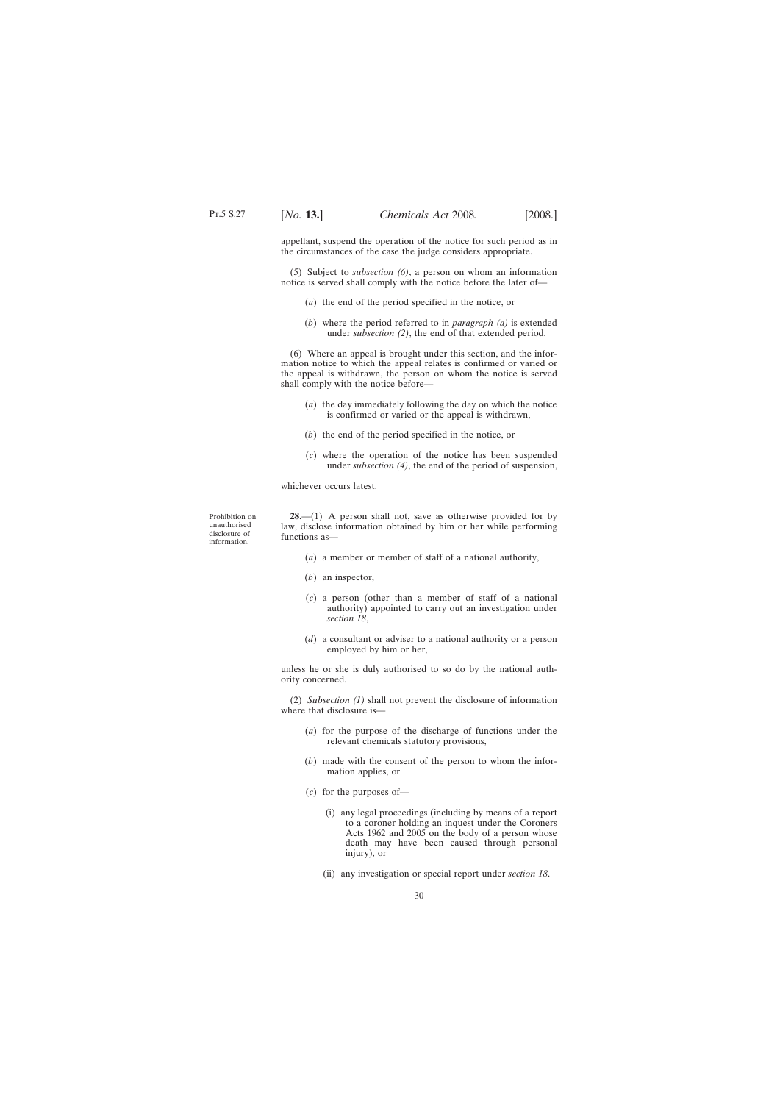<span id="page-29-0"></span>appellant, suspend the operation of the notice for such period as in the circumstances of the case the judge considers appropriate.

(5) Subject to *subsection (6)*, a person on whom an information notice is served shall comply with the notice before the later of—

- (*a*) the end of the period specified in the notice, or
- (*b*) where the period referred to in *paragraph (a)* is extended under *subsection (2)*, the end of that extended period.

(6) Where an appeal is brought under this section, and the information notice to which the appeal relates is confirmed or varied or the appeal is withdrawn, the person on whom the notice is served shall comply with the notice before—

- (*a*) the day immediately following the day on which the notice is confirmed or varied or the appeal is withdrawn,
- (*b*) the end of the period specified in the notice, or
- (*c*) where the operation of the notice has been suspended under *subsection (4)*, the end of the period of suspension,

whichever occurs latest.

Prohibition on unauthorised disclosure of information.

**28**.—(1) A person shall not, save as otherwise provided for by law, disclose information obtained by him or her while performing functions as—

- (*a*) a member or member of staff of a national authority,
- (*b*) an inspector,
- (*c*) a person (other than a member of staff of a national authority) appointed to carry out an investigation under *section 18*,
- (*d*) a consultant or adviser to a national authority or a person employed by him or her,

unless he or she is duly authorised to so do by the national authority concerned.

(2) *Subsection (1)* shall not prevent the disclosure of information where that disclosure is—

- (*a*) for the purpose of the discharge of functions under the relevant chemicals statutory provisions,
- (*b*) made with the consent of the person to whom the information applies, or
- (*c*) for the purposes of—
	- (i) any legal proceedings (including by means of a report to a coroner holding an inquest under the Coroners Acts 1962 and 2005 on the body of a person whose death may have been caused through personal injury), or
	- (ii) any investigation or special report under *section 18*.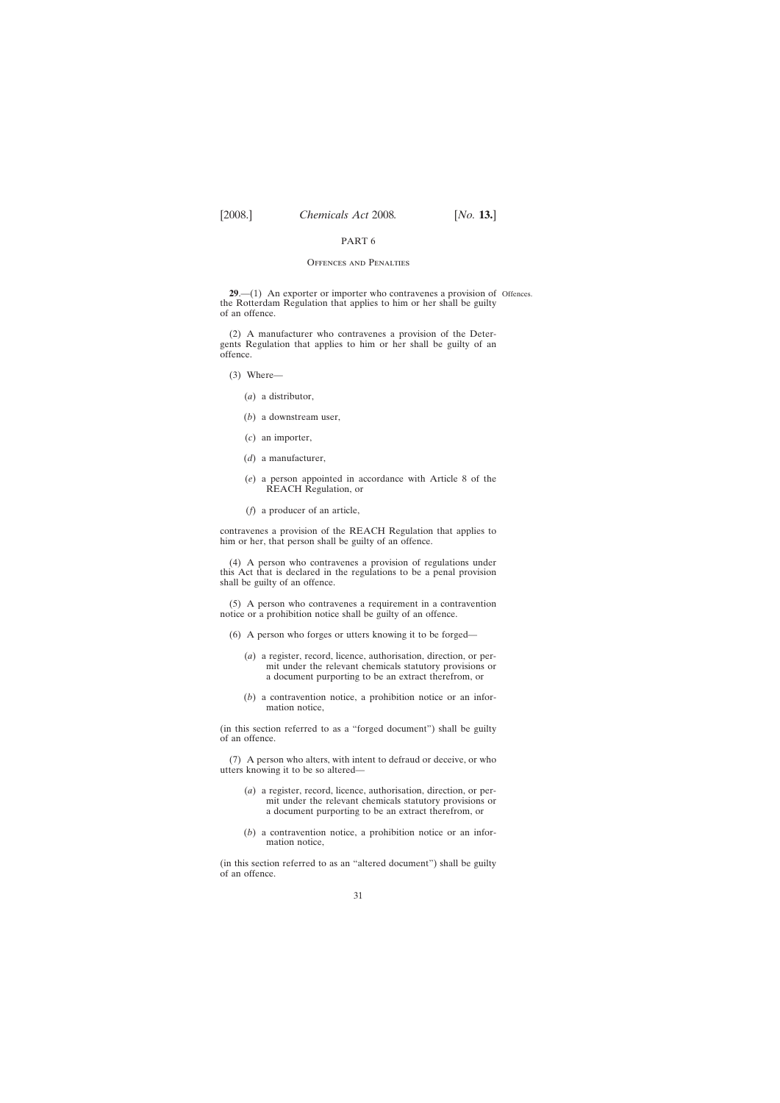## PART 6

### Offences and Penalties

<span id="page-30-0"></span>**29.**—(1) An exporter or importer who contravenes a provision of Offences. the Rotterdam Regulation that applies to him or her shall be guilty of an offence.

(2) A manufacturer who contravenes a provision of the Detergents Regulation that applies to him or her shall be guilty of an offence.

(3) Where—

- (*a*) a distributor,
- (*b*) a downstream user,
- (*c*) an importer,
- (*d*) a manufacturer,
- (*e*) a person appointed in accordance with Article 8 of the REACH Regulation, or
- (*f*) a producer of an article,

contravenes a provision of the REACH Regulation that applies to him or her, that person shall be guilty of an offence.

(4) A person who contravenes a provision of regulations under this Act that is declared in the regulations to be a penal provision shall be guilty of an offence.

(5) A person who contravenes a requirement in a contravention notice or a prohibition notice shall be guilty of an offence.

- (6) A person who forges or utters knowing it to be forged—
	- (*a*) a register, record, licence, authorisation, direction, or permit under the relevant chemicals statutory provisions or a document purporting to be an extract therefrom, or
	- (*b*) a contravention notice, a prohibition notice or an information notice,

(in this section referred to as a "forged document") shall be guilty of an offence.

(7) A person who alters, with intent to defraud or deceive, or who utters knowing it to be so altered—

- (*a*) a register, record, licence, authorisation, direction, or permit under the relevant chemicals statutory provisions or a document purporting to be an extract therefrom, or
- (*b*) a contravention notice, a prohibition notice or an information notice,

(in this section referred to as an "altered document") shall be guilty of an offence.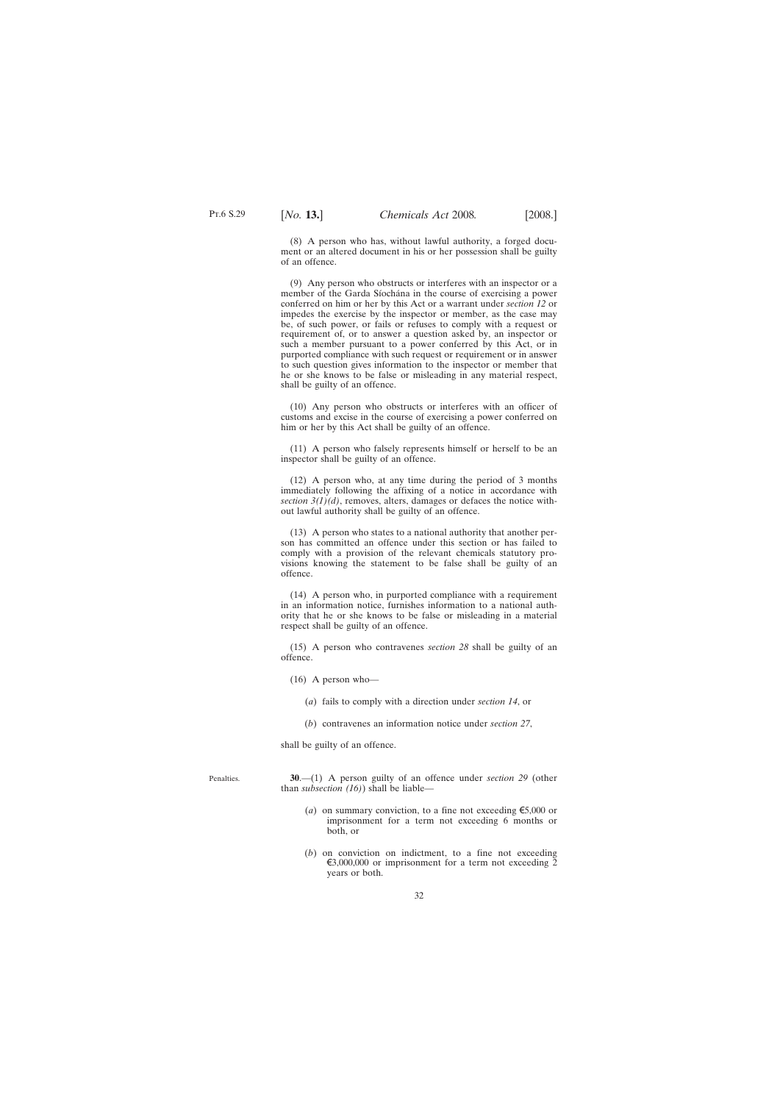Penalties.

<span id="page-31-0"></span>(8) A person who has, without lawful authority, a forged document or an altered document in his or her possession shall be guilty of an offence.

(9) Any person who obstructs or interferes with an inspector or a member of the Garda Síochána in the course of exercising a power conferred on him or her by this Act or a warrant under *section 12* or impedes the exercise by the inspector or member, as the case may be, of such power, or fails or refuses to comply with a request or requirement of, or to answer a question asked by, an inspector or such a member pursuant to a power conferred by this Act, or in purported compliance with such request or requirement or in answer to such question gives information to the inspector or member that he or she knows to be false or misleading in any material respect, shall be guilty of an offence.

(10) Any person who obstructs or interferes with an officer of customs and excise in the course of exercising a power conferred on him or her by this Act shall be guilty of an offence.

(11) A person who falsely represents himself or herself to be an inspector shall be guilty of an offence.

(12) A person who, at any time during the period of 3 months immediately following the affixing of a notice in accordance with *section 3(1)(d)*, removes, alters, damages or defaces the notice without lawful authority shall be guilty of an offence.

(13) A person who states to a national authority that another person has committed an offence under this section or has failed to comply with a provision of the relevant chemicals statutory provisions knowing the statement to be false shall be guilty of an offence.

(14) A person who, in purported compliance with a requirement in an information notice, furnishes information to a national authority that he or she knows to be false or misleading in a material respect shall be guilty of an offence.

(15) A person who contravenes *section 28* shall be guilty of an offence.

(16) A person who—

- (*a*) fails to comply with a direction under *section 14*, or
- (*b*) contravenes an information notice under *section 27*,

shall be guilty of an offence.

**30**.—(1) A person guilty of an offence under *section 29* (other than *subsection (16)*) shall be liable—

- (*a*) on summary conviction, to a fine not exceeding  $\epsilon$ 5,000 or imprisonment for a term not exceeding 6 months or both, or
- (*b*) on conviction on indictment, to a fine not exceeding  $\epsilon$ 3,000,000 or imprisonment for a term not exceeding 2 years or both.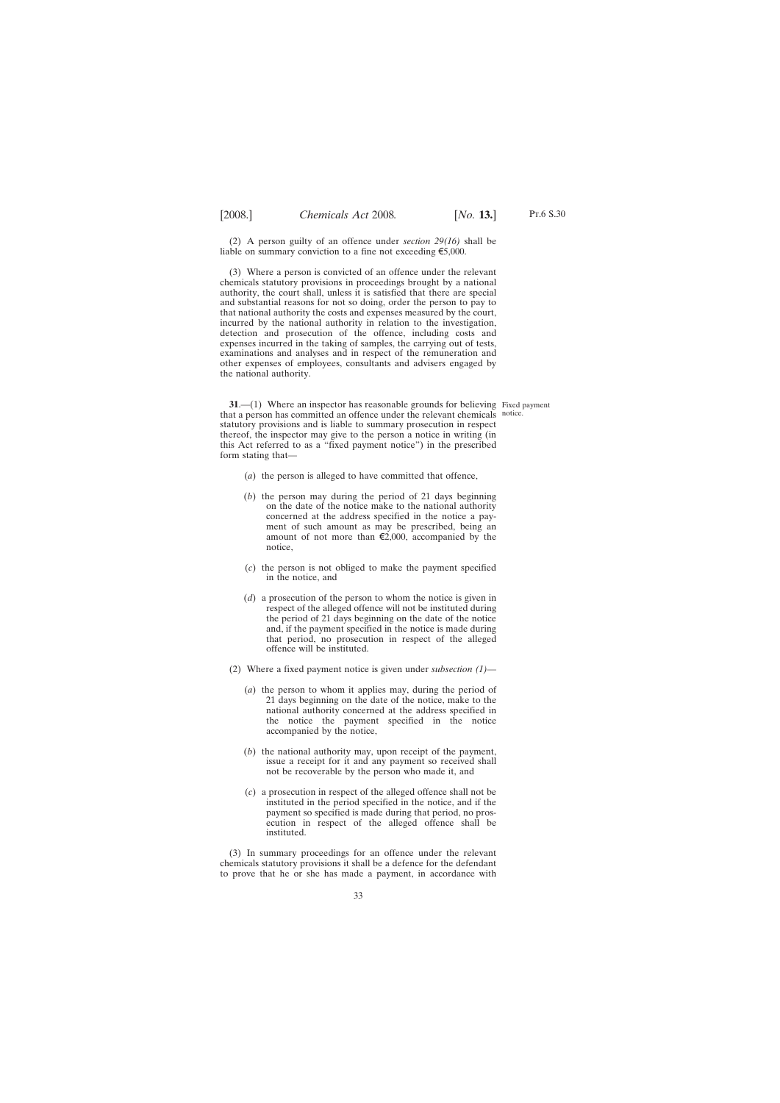<span id="page-32-0"></span>(2) A person guilty of an offence under *section 29(16)* shall be liable on summary conviction to a fine not exceeding  $\epsilon$ 5,000.

(3) Where a person is convicted of an offence under the relevant chemicals statutory provisions in proceedings brought by a national authority, the court shall, unless it is satisfied that there are special and substantial reasons for not so doing, order the person to pay to that national authority the costs and expenses measured by the court, incurred by the national authority in relation to the investigation, detection and prosecution of the offence, including costs and expenses incurred in the taking of samples, the carrying out of tests, examinations and analyses and in respect of the remuneration and other expenses of employees, consultants and advisers engaged by the national authority.

**31.**—(1) Where an inspector has reasonable grounds for believing Fixed payment that a person has committed an offence under the relevant chemicals notice.statutory provisions and is liable to summary prosecution in respect thereof, the inspector may give to the person a notice in writing (in this Act referred to as a "fixed payment notice") in the prescribed form stating that—

- (*a*) the person is alleged to have committed that offence,
- (*b*) the person may during the period of 21 days beginning on the date of the notice make to the national authority concerned at the address specified in the notice a payment of such amount as may be prescribed, being an amount of not more than  $\epsilon$ 2,000, accompanied by the notice,
- (*c*) the person is not obliged to make the payment specified in the notice, and
- (*d*) a prosecution of the person to whom the notice is given in respect of the alleged offence will not be instituted during the period of 21 days beginning on the date of the notice and, if the payment specified in the notice is made during that period, no prosecution in respect of the alleged offence will be instituted.
- (2) Where a fixed payment notice is given under *subsection (1)*
	- (*a*) the person to whom it applies may, during the period of 21 days beginning on the date of the notice, make to the national authority concerned at the address specified in the notice the payment specified in the notice accompanied by the notice,
	- (*b*) the national authority may, upon receipt of the payment, issue a receipt for it and any payment so received shall not be recoverable by the person who made it, and
	- (*c*) a prosecution in respect of the alleged offence shall not be instituted in the period specified in the notice, and if the payment so specified is made during that period, no prosecution in respect of the alleged offence shall be instituted.

(3) In summary proceedings for an offence under the relevant chemicals statutory provisions it shall be a defence for the defendant to prove that he or she has made a payment, in accordance with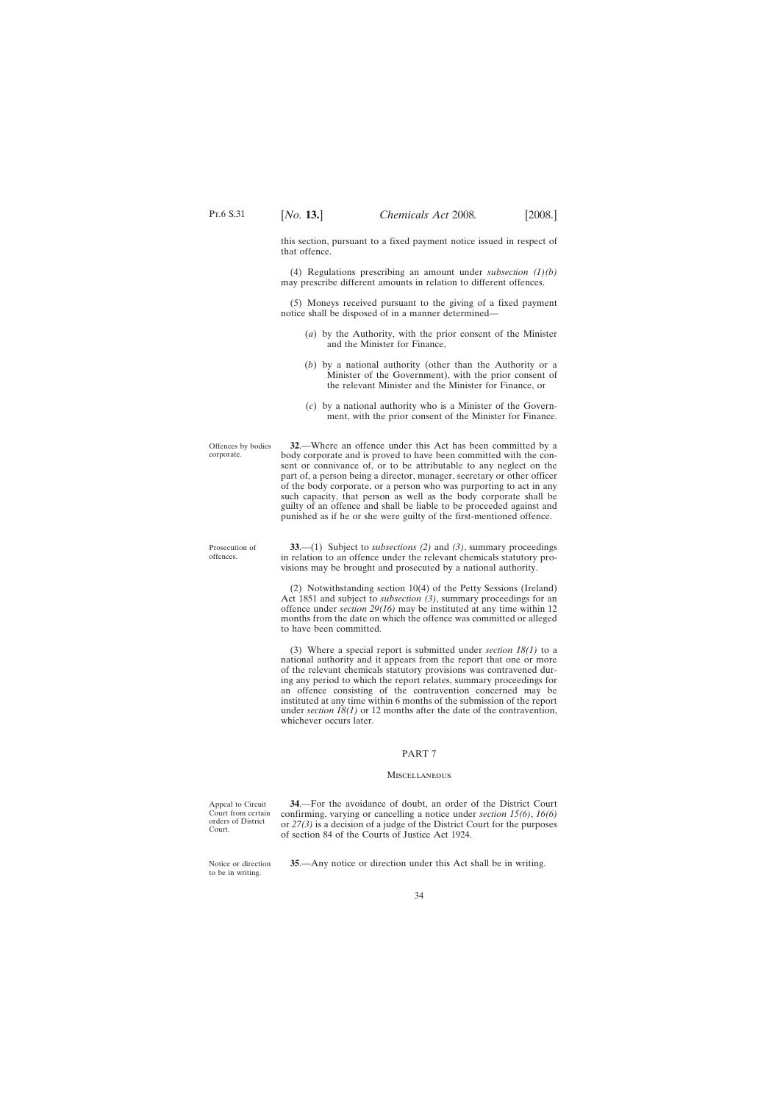<span id="page-33-0"></span>this section, pursuant to a fixed payment notice issued in respect of that offence.

(4) Regulations prescribing an amount under *subsection (1)(b)* may prescribe different amounts in relation to different offences.

(5) Moneys received pursuant to the giving of a fixed payment notice shall be disposed of in a manner determined—

- (*a*) by the Authority, with the prior consent of the Minister and the Minister for Finance,
- (*b*) by a national authority (other than the Authority or a Minister of the Government), with the prior consent of the relevant Minister and the Minister for Finance, or
- (*c*) by a national authority who is a Minister of the Government, with the prior consent of the Minister for Finance.

Offences by bodies corporate. **32**.—Where an offence under this Act has been committed by a body corporate and is proved to have been committed with the consent or connivance of, or to be attributable to any neglect on the part of, a person being a director, manager, secretary or other officer of the body corporate, or a person who was purporting to act in any such capacity, that person as well as the body corporate shall be guilty of an offence and shall be liable to be proceeded against and punished as if he or she were guilty of the first-mentioned offence.

Prosecution of offences.

**33**.—(1) Subject to *subsections (2)* and *(3)*, summary proceedings in relation to an offence under the relevant chemicals statutory provisions may be brought and prosecuted by a national authority.

(2) Notwithstanding section 10(4) of the Petty Sessions (Ireland) Act 1851 and subject to *subsection (3)*, summary proceedings for an offence under *section 29(16)* may be instituted at any time within 12 months from the date on which the offence was committed or alleged to have been committed.

(3) Where a special report is submitted under *section 18(1)* to a national authority and it appears from the report that one or more of the relevant chemicals statutory provisions was contravened during any period to which the report relates, summary proceedings for an offence consisting of the contravention concerned may be instituted at any time within 6 months of the submission of the report under *section 18(1)* or 12 months after the date of the contravention, whichever occurs later.

### PART 7

### **MISCELLANEOUS**

Appeal to Circuit Court from certain orders of District Court.

**34**.—For the avoidance of doubt, an order of the District Court confirming, varying or cancelling a notice under *section 15(6)*, *16(6)* or *27(3)* is a decision of a judge of the District Court for the purposes of section 84 of the Courts of Justice Act 1924.

Notice or direction to be in writing.

**35**.—Any notice or direction under this Act shall be in writing.